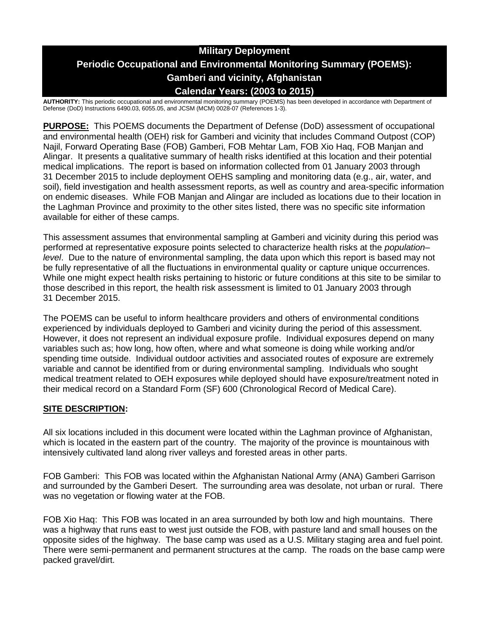# **Military Deployment Periodic Occupational and Environmental Monitoring Summary (POEMS): Gamberi and vicinity, Afghanistan Calendar Years: (2003 to 2015)**

**AUTHORITY:** This periodic occupational and environmental monitoring summary (POEMS) has been developed in accordance with Department of Defense (DoD) Instructions 6490.03, 6055.05, and JCSM (MCM) 0028-07 (References 1-3).

**PURPOSE:** This POEMS documents the Department of Defense (DoD) assessment of occupational and environmental health (OEH) risk for Gamberi and vicinity that includes Command Outpost (COP) Najil, Forward Operating Base (FOB) Gamberi, FOB Mehtar Lam, FOB Xio Haq, FOB Manjan and Alingar. It presents a qualitative summary of health risks identified at this location and their potential medical implications. The report is based on information collected from 01 January 2003 through 31 December 2015 to include deployment OEHS sampling and monitoring data (e.g., air, water, and soil), field investigation and health assessment reports, as well as country and area-specific information on endemic diseases. While FOB Manjan and Alingar are included as locations due to their location in the Laghman Province and proximity to the other sites listed, there was no specific site information available for either of these camps.

This assessment assumes that environmental sampling at Gamberi and vicinity during this period was performed at representative exposure points selected to characterize health risks at the *population– level*. Due to the nature of environmental sampling, the data upon which this report is based may not be fully representative of all the fluctuations in environmental quality or capture unique occurrences. While one might expect health risks pertaining to historic or future conditions at this site to be similar to those described in this report, the health risk assessment is limited to 01 January 2003 through 31 December 2015.

The POEMS can be useful to inform healthcare providers and others of environmental conditions experienced by individuals deployed to Gamberi and vicinity during the period of this assessment. However, it does not represent an individual exposure profile. Individual exposures depend on many variables such as; how long, how often, where and what someone is doing while working and/or spending time outside. Individual outdoor activities and associated routes of exposure are extremely variable and cannot be identified from or during environmental sampling. Individuals who sought medical treatment related to OEH exposures while deployed should have exposure/treatment noted in their medical record on a Standard Form (SF) 600 (Chronological Record of Medical Care).

### **SITE DESCRIPTION:**

All six locations included in this document were located within the Laghman province of Afghanistan, which is located in the eastern part of the country. The majority of the province is mountainous with intensively cultivated land along river valleys and forested areas in other parts.

FOB Gamberi: This FOB was located within the Afghanistan National Army (ANA) Gamberi Garrison and surrounded by the Gamberi Desert. The surrounding area was desolate, not urban or rural. There was no vegetation or flowing water at the FOB.

FOB Xio Haq: This FOB was located in an area surrounded by both low and high mountains. There was a highway that runs east to west just outside the FOB, with pasture land and small houses on the opposite sides of the highway. The base camp was used as a U.S. Military staging area and fuel point. There were semi-permanent and permanent structures at the camp. The roads on the base camp were packed gravel/dirt.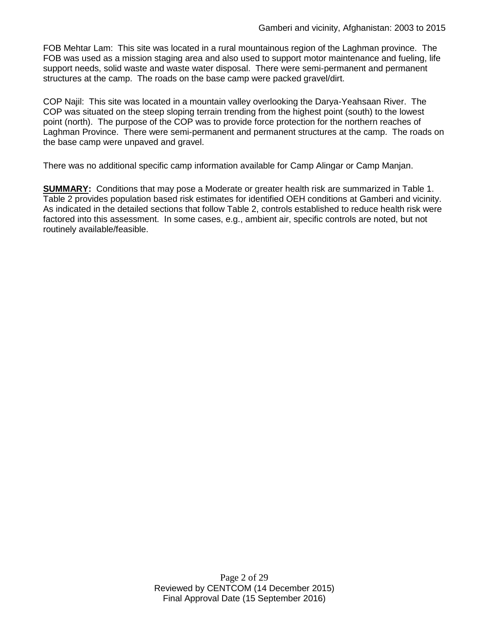FOB Mehtar Lam: This site was located in a rural mountainous region of the Laghman province. The FOB was used as a mission staging area and also used to support motor maintenance and fueling, life support needs, solid waste and waste water disposal. There were semi-permanent and permanent structures at the camp. The roads on the base camp were packed gravel/dirt.

COP Najil: This site was located in a mountain valley overlooking the Darya-Yeahsaan River. The COP was situated on the steep sloping terrain trending from the highest point (south) to the lowest point (north). The purpose of the COP was to provide force protection for the northern reaches of Laghman Province. There were semi-permanent and permanent structures at the camp. The roads on the base camp were unpaved and gravel.

There was no additional specific camp information available for Camp Alingar or Camp Manjan.

**SUMMARY:** Conditions that may pose a Moderate or greater health risk are summarized in Table 1. Table 2 provides population based risk estimates for identified OEH conditions at Gamberi and vicinity. As indicated in the detailed sections that follow Table 2, controls established to reduce health risk were factored into this assessment. In some cases, e.g., ambient air, specific controls are noted, but not routinely available/feasible.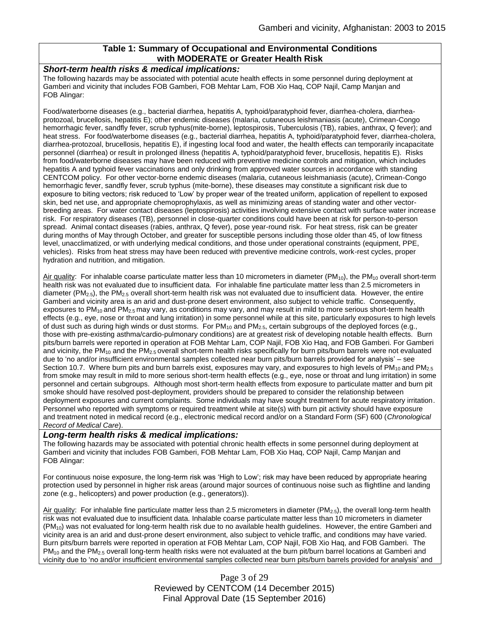### **Table 1: Summary of Occupational and Environmental Conditions with MODERATE or Greater Health Risk**

#### *Short-term health risks & medical implications:*

The following hazards may be associated with potential acute health effects in some personnel during deployment at Gamberi and vicinity that includes FOB Gamberi, FOB Mehtar Lam, FOB Xio Haq, COP Najil, Camp Manjan and FOB Alingar:

Food/waterborne diseases (e.g., bacterial diarrhea, hepatitis A, typhoid/paratyphoid fever, diarrhea-cholera, diarrheaprotozoal, brucellosis, hepatitis E); other endemic diseases (malaria, cutaneous leishmaniasis (acute), Crimean-Congo hemorrhagic fever, sandfly fever, scrub typhus(mite-borne), leptospirosis, Tuberculosis (TB), rabies, anthrax, Q fever); and heat stress. For food/waterborne diseases (e.g., bacterial diarrhea, hepatitis A, typhoid/paratyphoid fever, diarrhea-cholera, diarrhea-protozoal, brucellosis, hepatitis E), if ingesting local food and water, the health effects can temporarily incapacitate personnel (diarrhea) or result in prolonged illness (hepatitis A, typhoid/paratyphoid fever, brucellosis, hepatitis E). Risks from food/waterborne diseases may have been reduced with preventive medicine controls and mitigation, which includes hepatitis A and typhoid fever vaccinations and only drinking from approved water sources in accordance with standing CENTCOM policy. For other vector-borne endemic diseases (malaria, cutaneous leishmaniasis (acute), Crimean-Congo hemorrhagic fever, sandfly fever, scrub typhus (mite-borne), these diseases may constitute a significant risk due to exposure to biting vectors; risk reduced to 'Low' by proper wear of the treated uniform, application of repellent to exposed skin, bed net use, and appropriate chemoprophylaxis, as well as minimizing areas of standing water and other vectorbreeding areas. For water contact diseases (leptospirosis) activities involving extensive contact with surface water increase risk. For respiratory diseases (TB), personnel in close-quarter conditions could have been at risk for person-to-person spread. Animal contact diseases (rabies, anthrax, Q fever), pose year-round risk. For heat stress, risk can be greater during months of May through October, and greater for susceptible persons including those older than 45, of low fitness level, unacclimatized, or with underlying medical conditions, and those under operational constraints (equipment, PPE, vehicles). Risks from heat stress may have been reduced with preventive medicine controls, work-rest cycles, proper hydration and nutrition, and mitigation.

Air quality: For inhalable coarse particulate matter less than 10 micrometers in diameter (PM<sub>10</sub>), the PM<sub>10</sub> overall short-term health risk was not evaluated due to insufficient data. For inhalable fine particulate matter less than 2.5 micrometers in diameter ( $PM_{2.5}$ ), the PM<sub>2.5</sub> overall short-term health risk was not evaluated due to insufficient data. However, the entire Gamberi and vicinity area is an arid and dust-prone desert environment, also subject to vehicle traffic. Consequently, exposures to PM<sub>10</sub> and PM<sub>2.5</sub> may vary, as conditions may vary, and may result in mild to more serious short-term health effects (e.g., eye, nose or throat and lung irritation) in some personnel while at this site, particularly exposures to high levels of dust such as during high winds or dust storms. For  $PM_{10}$  and  $PM_{2.5}$ , certain subgroups of the deployed forces (e.g., those with pre-existing asthma/cardio-pulmonary conditions) are at greatest risk of developing notable health effects. Burn pits/burn barrels were reported in operation at FOB Mehtar Lam, COP Najil, FOB Xio Haq, and FOB Gamberi. For Gamberi and vicinity, the PM<sub>10</sub> and the PM<sub>2.5</sub> overall short-term health risks specifically for burn pits/burn barrels were not evaluated due to 'no and/or insufficient environmental samples collected near burn pits/burn barrels provided for analysis' – see Section 10.7. Where burn pits and burn barrels exist, exposures may vary, and exposures to high levels of  $PM_{10}$  and  $PM_{2.5}$ from smoke may result in mild to more serious short-term health effects (e.g., eye, nose or throat and lung irritation) in some personnel and certain subgroups. Although most short-term health effects from exposure to particulate matter and burn pit smoke should have resolved post-deployment, providers should be prepared to consider the relationship between deployment exposures and current complaints. Some individuals may have sought treatment for acute respiratory irritation. Personnel who reported with symptoms or required treatment while at site(s) with burn pit activity should have exposure and treatment noted in medical record (e.g., electronic medical record and/or on a Standard Form (SF) 600 (*Chronological Record of Medical Care*).

#### *Long-term health risks & medical implications:*

The following hazards may be associated with potential chronic health effects in some personnel during deployment at Gamberi and vicinity that includes FOB Gamberi, FOB Mehtar Lam, FOB Xio Haq, COP Najil, Camp Manjan and FOB Alingar:

For continuous noise exposure, the long-term risk was 'High to Low'; risk may have been reduced by appropriate hearing protection used by personnel in higher risk areas (around major sources of continuous noise such as flightline and landing zone (e.g., helicopters) and power production (e.g., generators)).

Air quality: For inhalable fine particulate matter less than 2.5 micrometers in diameter ( $PM_{2.5}$ ), the overall long-term health risk was not evaluated due to insufficient data. Inhalable coarse particulate matter less than 10 micrometers in diameter  $(PM_{10})$  was not evaluated for long-term health risk due to no available health guidelines. However, the entire Gamberi and vicinity area is an arid and dust-prone desert environment, also subject to vehicle traffic, and conditions may have varied. Burn pits/burn barrels were reported in operation at FOB Mehtar Lam, COP Najil, FOB Xio Haq, and FOB Gamberi. The  $PM_{10}$  and the PM<sub>2.5</sub> overall long-term health risks were not evaluated at the burn pit/burn barrel locations at Gamberi and vicinity due to 'no and/or insufficient environmental samples collected near burn pits/burn barrels provided for analysis' and

> Page 3 of 29 Reviewed by CENTCOM (14 December 2015) Final Approval Date (15 September 2016)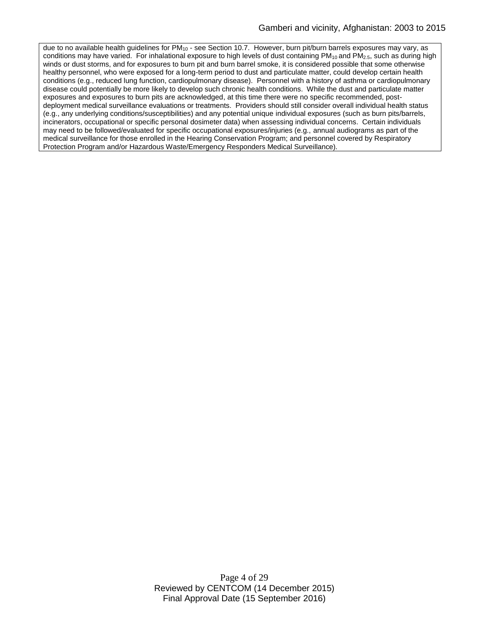due to no available health guidelines for PM<sub>10</sub> - see Section 10.7. However, burn pit/burn barrels exposures may vary, as conditions may have varied. For inhalational exposure to high levels of dust containing  $PM_{10}$  and  $PM_{2.5}$ , such as during high winds or dust storms, and for exposures to burn pit and burn barrel smoke, it is considered possible that some otherwise healthy personnel, who were exposed for a long-term period to dust and particulate matter, could develop certain health conditions (e.g., reduced lung function, cardiopulmonary disease). Personnel with a history of asthma or cardiopulmonary disease could potentially be more likely to develop such chronic health conditions. While the dust and particulate matter exposures and exposures to burn pits are acknowledged, at this time there were no specific recommended, postdeployment medical surveillance evaluations or treatments. Providers should still consider overall individual health status (e.g., any underlying conditions/susceptibilities) and any potential unique individual exposures (such as burn pits/barrels, incinerators, occupational or specific personal dosimeter data) when assessing individual concerns. Certain individuals may need to be followed/evaluated for specific occupational exposures/injuries (e.g., annual audiograms as part of the medical surveillance for those enrolled in the Hearing Conservation Program; and personnel covered by Respiratory Protection Program and/or Hazardous Waste/Emergency Responders Medical Surveillance).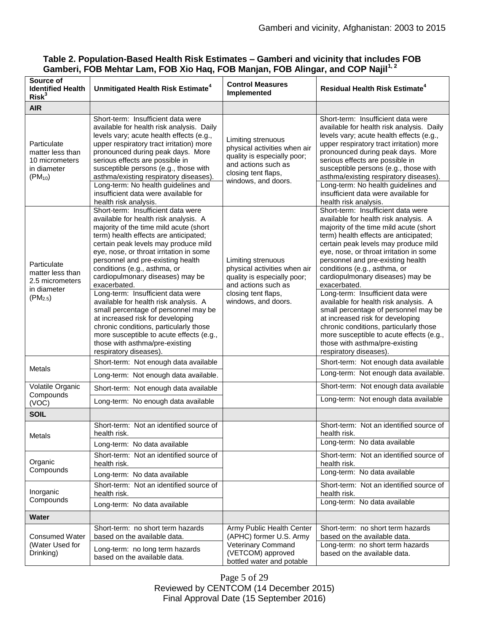| Source of<br><b>Identified Health</b><br>Risk <sup>3</sup>                        | Unmitigated Health Risk Estimate <sup>4</sup>                                                                                                                                                                                                                                                                                                                                                                                                            | <b>Control Measures</b><br>Implemented                                                                                                                 | <b>Residual Health Risk Estimate<sup>4</sup></b>                                                                                                                                                                                                                                                                                                                                                                                                         |
|-----------------------------------------------------------------------------------|----------------------------------------------------------------------------------------------------------------------------------------------------------------------------------------------------------------------------------------------------------------------------------------------------------------------------------------------------------------------------------------------------------------------------------------------------------|--------------------------------------------------------------------------------------------------------------------------------------------------------|----------------------------------------------------------------------------------------------------------------------------------------------------------------------------------------------------------------------------------------------------------------------------------------------------------------------------------------------------------------------------------------------------------------------------------------------------------|
| <b>AIR</b>                                                                        |                                                                                                                                                                                                                                                                                                                                                                                                                                                          |                                                                                                                                                        |                                                                                                                                                                                                                                                                                                                                                                                                                                                          |
| Particulate<br>matter less than<br>10 micrometers<br>in diameter<br>$(PM_{10})$   | Short-term: Insufficient data were<br>available for health risk analysis. Daily<br>levels vary; acute health effects (e.g.,<br>upper respiratory tract irritation) more<br>pronounced during peak days. More<br>serious effects are possible in<br>susceptible persons (e.g., those with<br>asthma/existing respiratory diseases).<br>Long-term: No health guidelines and<br>insufficient data were available for<br>health risk analysis.               | Limiting strenuous<br>physical activities when air<br>quality is especially poor;<br>and actions such as<br>closing tent flaps,<br>windows, and doors. | Short-term: Insufficient data were<br>available for health risk analysis. Daily<br>levels vary; acute health effects (e.g.,<br>upper respiratory tract irritation) more<br>pronounced during peak days. More<br>serious effects are possible in<br>susceptible persons (e.g., those with<br>asthma/existing respiratory diseases)<br>Long-term: No health guidelines and<br>insufficient data were available for<br>health risk analysis.                |
| Particulate<br>matter less than<br>2.5 micrometers<br>in diameter<br>$(PM_{2.5})$ | Short-term: Insufficient data were<br>available for health risk analysis. A<br>majority of the time mild acute (short<br>term) health effects are anticipated;<br>certain peak levels may produce mild<br>eye, nose, or throat irritation in some<br>personnel and pre-existing health<br>conditions (e.g., asthma, or<br>cardiopulmonary diseases) may be<br>exacerbated.<br>Long-term: Insufficient data were<br>available for health risk analysis. A | Limiting strenuous<br>physical activities when air<br>quality is especially poor;<br>and actions such as<br>closing tent flaps,<br>windows, and doors. | Short-term: Insufficient data were<br>available for health risk analysis. A<br>majority of the time mild acute (short<br>term) health effects are anticipated;<br>certain peak levels may produce mild<br>eye, nose, or throat irritation in some<br>personnel and pre-existing health<br>conditions (e.g., asthma, or<br>cardiopulmonary diseases) may be<br>exacerbated.<br>Long-term: Insufficient data were<br>available for health risk analysis. A |
|                                                                                   | small percentage of personnel may be<br>at increased risk for developing<br>chronic conditions, particularly those<br>more susceptible to acute effects (e.g.,<br>those with asthma/pre-existing<br>respiratory diseases).                                                                                                                                                                                                                               |                                                                                                                                                        | small percentage of personnel may be<br>at increased risk for developing<br>chronic conditions, particularly those<br>more susceptible to acute effects (e.g.,<br>those with asthma/pre-existing<br>respiratory diseases).                                                                                                                                                                                                                               |
| Metals                                                                            | Short-term: Not enough data available                                                                                                                                                                                                                                                                                                                                                                                                                    |                                                                                                                                                        | Short-term: Not enough data available                                                                                                                                                                                                                                                                                                                                                                                                                    |
|                                                                                   | Long-term: Not enough data available.                                                                                                                                                                                                                                                                                                                                                                                                                    |                                                                                                                                                        | Long-term: Not enough data available.                                                                                                                                                                                                                                                                                                                                                                                                                    |
| Volatile Organic<br>Compounds                                                     | Short-term: Not enough data available                                                                                                                                                                                                                                                                                                                                                                                                                    |                                                                                                                                                        | Short-term: Not enough data available                                                                                                                                                                                                                                                                                                                                                                                                                    |
| (VOC)                                                                             | Long-term: No enough data available                                                                                                                                                                                                                                                                                                                                                                                                                      |                                                                                                                                                        | Long-term: Not enough data available                                                                                                                                                                                                                                                                                                                                                                                                                     |
| <b>SOIL</b>                                                                       |                                                                                                                                                                                                                                                                                                                                                                                                                                                          |                                                                                                                                                        |                                                                                                                                                                                                                                                                                                                                                                                                                                                          |
| <b>Metals</b>                                                                     | Short-term: Not an identified source of<br>health risk.                                                                                                                                                                                                                                                                                                                                                                                                  |                                                                                                                                                        | Short-term: Not an identified source of<br>health risk.                                                                                                                                                                                                                                                                                                                                                                                                  |
|                                                                                   | Long-term: No data available                                                                                                                                                                                                                                                                                                                                                                                                                             |                                                                                                                                                        | Long-term: No data available                                                                                                                                                                                                                                                                                                                                                                                                                             |
| Organic<br>Compounds                                                              | Short-term: Not an identified source of<br>health risk.                                                                                                                                                                                                                                                                                                                                                                                                  |                                                                                                                                                        | Short-term: Not an identified source of<br>health risk.                                                                                                                                                                                                                                                                                                                                                                                                  |
|                                                                                   | Long-term: No data available                                                                                                                                                                                                                                                                                                                                                                                                                             |                                                                                                                                                        | Long-term: No data available                                                                                                                                                                                                                                                                                                                                                                                                                             |
| Inorganic<br>Compounds                                                            | Short-term: Not an identified source of<br>health risk.                                                                                                                                                                                                                                                                                                                                                                                                  |                                                                                                                                                        | Short-term: Not an identified source of<br>health risk.                                                                                                                                                                                                                                                                                                                                                                                                  |
|                                                                                   | Long-term: No data available                                                                                                                                                                                                                                                                                                                                                                                                                             |                                                                                                                                                        | Long-term: No data available                                                                                                                                                                                                                                                                                                                                                                                                                             |
| <b>Water</b>                                                                      |                                                                                                                                                                                                                                                                                                                                                                                                                                                          |                                                                                                                                                        |                                                                                                                                                                                                                                                                                                                                                                                                                                                          |
| <b>Consumed Water</b><br>(Water Used for<br>Drinking)                             | Short-term: no short term hazards<br>based on the available data.                                                                                                                                                                                                                                                                                                                                                                                        | Army Public Health Center<br>(APHC) former U.S. Army<br>Veterinary Command<br>(VETCOM) approved<br>bottled water and potable                           | Short-term: no short term hazards<br>based on the available data.                                                                                                                                                                                                                                                                                                                                                                                        |
|                                                                                   | Long-term: no long term hazards<br>based on the available data.                                                                                                                                                                                                                                                                                                                                                                                          |                                                                                                                                                        | Long-term: no short term hazards<br>based on the available data.                                                                                                                                                                                                                                                                                                                                                                                         |

# **Table 2. Population-Based Health Risk Estimates – Gamberi and vicinity that includes FOB Gamberi, FOB Mehtar Lam, FOB Xio Haq, FOB Manjan, FOB Alingar, and COP Najil1, 2**

Page 5 of 29 Reviewed by CENTCOM (14 December 2015) Final Approval Date (15 September 2016)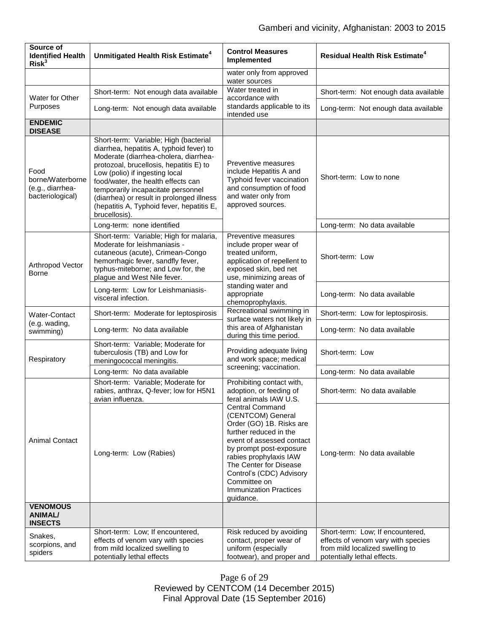| Source of<br><b>Identified Health</b><br>Risk <sup>3</sup>       | Unmitigated Health Risk Estimate <sup>4</sup>                                                                                                                                                                                                                                                                                                                                                  | <b>Control Measures</b><br>Implemented                                                                                                                                                                                                                                                                                                                                                    | <b>Residual Health Risk Estimate<sup>4</sup></b>                                                                                         |
|------------------------------------------------------------------|------------------------------------------------------------------------------------------------------------------------------------------------------------------------------------------------------------------------------------------------------------------------------------------------------------------------------------------------------------------------------------------------|-------------------------------------------------------------------------------------------------------------------------------------------------------------------------------------------------------------------------------------------------------------------------------------------------------------------------------------------------------------------------------------------|------------------------------------------------------------------------------------------------------------------------------------------|
|                                                                  |                                                                                                                                                                                                                                                                                                                                                                                                | water only from approved<br>water sources                                                                                                                                                                                                                                                                                                                                                 |                                                                                                                                          |
| Water for Other<br>Purposes                                      | Short-term: Not enough data available                                                                                                                                                                                                                                                                                                                                                          | Water treated in<br>accordance with<br>standards applicable to its<br>intended use                                                                                                                                                                                                                                                                                                        | Short-term: Not enough data available                                                                                                    |
|                                                                  | Long-term: Not enough data available                                                                                                                                                                                                                                                                                                                                                           |                                                                                                                                                                                                                                                                                                                                                                                           | Long-term: Not enough data available                                                                                                     |
| <b>ENDEMIC</b><br><b>DISEASE</b>                                 |                                                                                                                                                                                                                                                                                                                                                                                                |                                                                                                                                                                                                                                                                                                                                                                                           |                                                                                                                                          |
| Food<br>borne/Waterborne<br>(e.g., diarrhea-<br>bacteriological) | Short-term: Variable; High (bacterial<br>diarrhea, hepatitis A, typhoid fever) to<br>Moderate (diarrhea-cholera, diarrhea-<br>protozoal, brucellosis, hepatitis E) to<br>Low (polio) if ingesting local<br>food/water, the health effects can<br>temporarily incapacitate personnel<br>(diarrhea) or result in prolonged illness<br>(hepatitis A, Typhoid fever, hepatitis E,<br>brucellosis). | Preventive measures<br>include Hepatitis A and<br>Typhoid fever vaccination<br>and consumption of food<br>and water only from<br>approved sources.                                                                                                                                                                                                                                        | Short-term: Low to none                                                                                                                  |
|                                                                  | Long-term: none identified                                                                                                                                                                                                                                                                                                                                                                     |                                                                                                                                                                                                                                                                                                                                                                                           | Long-term: No data available                                                                                                             |
| Arthropod Vector<br><b>Borne</b>                                 | Short-term: Variable; High for malaria,<br>Moderate for leishmaniasis -<br>cutaneous (acute), Crimean-Congo<br>hemorrhagic fever, sandfly fever,<br>typhus-miteborne; and Low for, the<br>plague and West Nile fever.                                                                                                                                                                          | Preventive measures<br>include proper wear of<br>treated uniform,<br>application of repellent to<br>exposed skin, bed net<br>use, minimizing areas of<br>standing water and<br>appropriate<br>chemoprophylaxis.                                                                                                                                                                           | Short-term: Low                                                                                                                          |
|                                                                  | Long-term: Low for Leishmaniasis-<br>visceral infection.                                                                                                                                                                                                                                                                                                                                       |                                                                                                                                                                                                                                                                                                                                                                                           | Long-term: No data available                                                                                                             |
| Water-Contact<br>(e.g. wading,<br>swimming)                      | Short-term: Moderate for leptospirosis                                                                                                                                                                                                                                                                                                                                                         | Recreational swimming in<br>surface waters not likely in                                                                                                                                                                                                                                                                                                                                  | Short-term: Low for leptospirosis.                                                                                                       |
|                                                                  | Long-term: No data available                                                                                                                                                                                                                                                                                                                                                                   | this area of Afghanistan<br>during this time period.                                                                                                                                                                                                                                                                                                                                      | Long-term: No data available                                                                                                             |
| Respiratory                                                      | Short-term: Variable; Moderate for<br>tuberculosis (TB) and Low for<br>meningococcal meningitis.                                                                                                                                                                                                                                                                                               | Providing adequate living<br>and work space; medical                                                                                                                                                                                                                                                                                                                                      | Short-term: Low                                                                                                                          |
|                                                                  | Long-term: No data available                                                                                                                                                                                                                                                                                                                                                                   | screening; vaccination.                                                                                                                                                                                                                                                                                                                                                                   | Long-term: No data available                                                                                                             |
| <b>Animal Contact</b>                                            | Short-term: Variable; Moderate for<br>rabies, anthrax, Q-fever; low for H5N1<br>avian influenza.                                                                                                                                                                                                                                                                                               | Prohibiting contact with,<br>adoption, or feeding of<br>feral animals IAW U.S.<br><b>Central Command</b><br>(CENTCOM) General<br>Order (GO) 1B. Risks are<br>further reduced in the<br>event of assessed contact<br>by prompt post-exposure<br>rabies prophylaxis IAW<br>The Center for Disease<br>Control's (CDC) Advisory<br>Committee on<br><b>Immunization Practices</b><br>guidance. | Short-term: No data available                                                                                                            |
|                                                                  | Long-term: Low (Rabies)                                                                                                                                                                                                                                                                                                                                                                        |                                                                                                                                                                                                                                                                                                                                                                                           | Long-term: No data available                                                                                                             |
| <b>VENOMOUS</b><br>ANIMAL/<br><b>INSECTS</b>                     |                                                                                                                                                                                                                                                                                                                                                                                                |                                                                                                                                                                                                                                                                                                                                                                                           |                                                                                                                                          |
| Snakes,<br>scorpions, and<br>spiders                             | Short-term: Low; If encountered,<br>effects of venom vary with species<br>from mild localized swelling to<br>potentially lethal effects                                                                                                                                                                                                                                                        | Risk reduced by avoiding<br>contact, proper wear of<br>uniform (especially<br>footwear), and proper and                                                                                                                                                                                                                                                                                   | Short-term: Low; If encountered,<br>effects of venom vary with species<br>from mild localized swelling to<br>potentially lethal effects. |

Page 6 of 29 Reviewed by CENTCOM (14 December 2015) Final Approval Date (15 September 2016)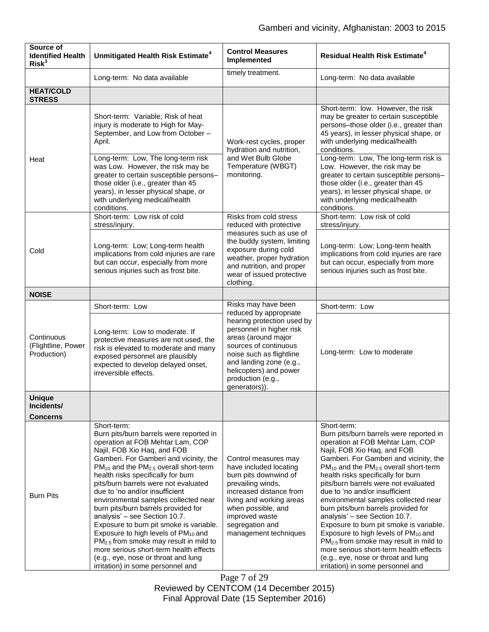| Source of<br><b>Identified Health</b><br>Risk <sup>3</sup> | Unmitigated Health Risk Estimate <sup>4</sup>                                                                                                                                                                                                                                                                                                                                                                                                                                                                                                                                                                                                                                                                                        | <b>Control Measures</b><br>Implemented                                                                                                                                                                                                  | <b>Residual Health Risk Estimate<sup>4</sup></b>                                                                                                                                                                                                                                                                                                                                                                                                                                                                                                                                                                                                                                                                                               |
|------------------------------------------------------------|--------------------------------------------------------------------------------------------------------------------------------------------------------------------------------------------------------------------------------------------------------------------------------------------------------------------------------------------------------------------------------------------------------------------------------------------------------------------------------------------------------------------------------------------------------------------------------------------------------------------------------------------------------------------------------------------------------------------------------------|-----------------------------------------------------------------------------------------------------------------------------------------------------------------------------------------------------------------------------------------|------------------------------------------------------------------------------------------------------------------------------------------------------------------------------------------------------------------------------------------------------------------------------------------------------------------------------------------------------------------------------------------------------------------------------------------------------------------------------------------------------------------------------------------------------------------------------------------------------------------------------------------------------------------------------------------------------------------------------------------------|
|                                                            | Long-term: No data available                                                                                                                                                                                                                                                                                                                                                                                                                                                                                                                                                                                                                                                                                                         | timely treatment.                                                                                                                                                                                                                       | Long-term: No data available                                                                                                                                                                                                                                                                                                                                                                                                                                                                                                                                                                                                                                                                                                                   |
| <b>HEAT/COLD</b><br><b>STRESS</b>                          |                                                                                                                                                                                                                                                                                                                                                                                                                                                                                                                                                                                                                                                                                                                                      |                                                                                                                                                                                                                                         |                                                                                                                                                                                                                                                                                                                                                                                                                                                                                                                                                                                                                                                                                                                                                |
| Heat                                                       | Short-term: Variable; Risk of heat<br>injury is moderate to High for May-<br>September, and Low from October -<br>April.<br>Long-term: Low, The long-term risk<br>was Low. However, the risk may be<br>greater to certain susceptible persons-<br>those older (i.e., greater than 45                                                                                                                                                                                                                                                                                                                                                                                                                                                 | Work-rest cycles, proper<br>hydration and nutrition,<br>and Wet Bulb Globe<br>Temperature (WBGT)<br>monitoring.                                                                                                                         | Short-term: low. However, the risk<br>may be greater to certain susceptible<br>persons-those older (i.e., greater than<br>45 years), in lesser physical shape, or<br>with underlying medical/health<br>conditions.<br>Long-term: Low, The long-term risk is<br>Low. However, the risk may be<br>greater to certain susceptible persons-<br>those older (i.e., greater than 45                                                                                                                                                                                                                                                                                                                                                                  |
|                                                            | years), in lesser physical shape, or<br>with underlying medical/health<br>conditions.                                                                                                                                                                                                                                                                                                                                                                                                                                                                                                                                                                                                                                                |                                                                                                                                                                                                                                         | years), in lesser physical shape, or<br>with underlying medical/health<br>conditions.                                                                                                                                                                                                                                                                                                                                                                                                                                                                                                                                                                                                                                                          |
|                                                            | Short-term: Low risk of cold<br>stress/injury.                                                                                                                                                                                                                                                                                                                                                                                                                                                                                                                                                                                                                                                                                       | Risks from cold stress<br>reduced with protective                                                                                                                                                                                       | Short-term: Low risk of cold<br>stress/injury.                                                                                                                                                                                                                                                                                                                                                                                                                                                                                                                                                                                                                                                                                                 |
| Cold                                                       | Long-term: Low; Long-term health<br>implications from cold injuries are rare<br>but can occur, especially from more<br>serious injuries such as frost bite.                                                                                                                                                                                                                                                                                                                                                                                                                                                                                                                                                                          | measures such as use of<br>the buddy system, limiting<br>exposure during cold<br>weather, proper hydration<br>and nutrition, and proper<br>wear of issued protective<br>clothing.                                                       | Long-term: Low; Long-term health<br>implications from cold injuries are rare<br>but can occur, especially from more<br>serious injuries such as frost bite.                                                                                                                                                                                                                                                                                                                                                                                                                                                                                                                                                                                    |
| <b>NOISE</b>                                               |                                                                                                                                                                                                                                                                                                                                                                                                                                                                                                                                                                                                                                                                                                                                      |                                                                                                                                                                                                                                         |                                                                                                                                                                                                                                                                                                                                                                                                                                                                                                                                                                                                                                                                                                                                                |
|                                                            | Short-term: Low                                                                                                                                                                                                                                                                                                                                                                                                                                                                                                                                                                                                                                                                                                                      | Risks may have been<br>reduced by appropriate                                                                                                                                                                                           | Short-term: Low                                                                                                                                                                                                                                                                                                                                                                                                                                                                                                                                                                                                                                                                                                                                |
| Continuous<br>(Flightline, Power<br>Production)            | Long-term: Low to moderate. If<br>protective measures are not used, the<br>risk is elevated to moderate and many<br>exposed personnel are plausibly<br>expected to develop delayed onset,<br>irreversible effects.                                                                                                                                                                                                                                                                                                                                                                                                                                                                                                                   | hearing protection used by<br>personnel in higher risk<br>areas (around major<br>sources of continuous<br>noise such as flightline<br>and landing zone (e.g.,<br>helicopters) and power<br>production (e.g.,<br>generators)).           | Long-term: Low to moderate                                                                                                                                                                                                                                                                                                                                                                                                                                                                                                                                                                                                                                                                                                                     |
| <b>Unique</b>                                              |                                                                                                                                                                                                                                                                                                                                                                                                                                                                                                                                                                                                                                                                                                                                      |                                                                                                                                                                                                                                         |                                                                                                                                                                                                                                                                                                                                                                                                                                                                                                                                                                                                                                                                                                                                                |
| Incidents/<br><b>Concerns</b>                              |                                                                                                                                                                                                                                                                                                                                                                                                                                                                                                                                                                                                                                                                                                                                      |                                                                                                                                                                                                                                         |                                                                                                                                                                                                                                                                                                                                                                                                                                                                                                                                                                                                                                                                                                                                                |
| <b>Burn Pits</b>                                           | Short-term:<br>Burn pits/burn barrels were reported in<br>operation at FOB Mehtar Lam, COP<br>Najil, FOB Xio Haq, and FOB<br>Gamberi. For Gamberi and vicinity, the<br>PM <sub>10</sub> and the PM <sub>2.5</sub> overall short-term<br>health risks specifically for burn<br>pits/burn barrels were not evaluated<br>due to 'no and/or insufficient<br>environmental samples collected near<br>burn pits/burn barrels provided for<br>analysis' - see Section 10.7.<br>Exposure to burn pit smoke is variable.<br>Exposure to high levels of PM <sub>10</sub> and<br>$PM2.5$ from smoke may result in mild to<br>more serious short-term health effects<br>(e.g., eye, nose or throat and lung<br>irritation) in some personnel and | Control measures may<br>have included locating<br>burn pits downwind of<br>prevailing winds,<br>increased distance from<br>living and working areas<br>when possible, and<br>improved waste<br>segregation and<br>management techniques | Short-term:<br>Burn pits/burn barrels were reported in<br>operation at FOB Mehtar Lam, COP<br>Najil, FOB Xio Haq, and FOB<br>Gamberi. For Gamberi and vicinity, the<br>PM <sub>10</sub> and the PM <sub>2.5</sub> overall short-term<br>health risks specifically for burn<br>pits/burn barrels were not evaluated<br>due to 'no and/or insufficient<br>environmental samples collected near<br>burn pits/burn barrels provided for<br>analysis' - see Section 10.7.<br>Exposure to burn pit smoke is variable.<br>Exposure to high levels of PM <sub>10</sub> and<br>PM <sub>2.5</sub> from smoke may result in mild to<br>more serious short-term health effects<br>(e.g., eye, nose or throat and lung<br>irritation) in some personnel and |

Page 7 of 29 Reviewed by CENTCOM (14 December 2015) Final Approval Date (15 September 2016)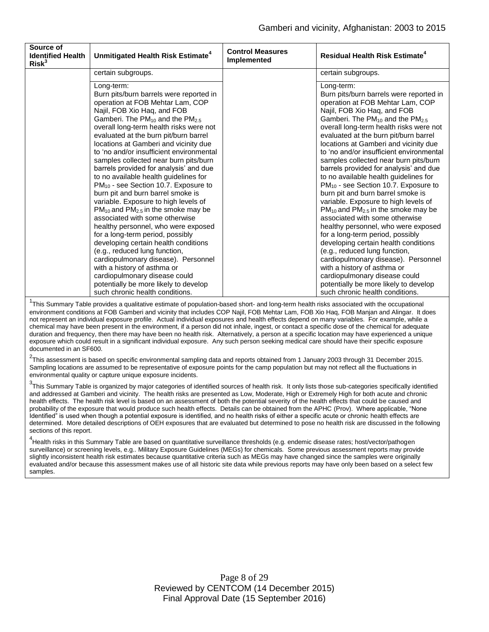| Source of<br><b>Identified Health</b><br>Risk <sup>3</sup> | Unmitigated Health Risk Estimate <sup>4</sup>                                                                                                                                                                                                                                                                                                                                                                                                                                                                                                                                                                                                                                                                                                                                                                                                                                                                                                                                                                                                      | <b>Control Measures</b><br><b>Implemented</b> | <b>Residual Health Risk Estimate<sup>4</sup></b>                                                                                                                                                                                                                                                                                                                                                                                                                                                                                                                                                                                                                                                                                                                                                                                                                                                                                                                                                                                                                 |
|------------------------------------------------------------|----------------------------------------------------------------------------------------------------------------------------------------------------------------------------------------------------------------------------------------------------------------------------------------------------------------------------------------------------------------------------------------------------------------------------------------------------------------------------------------------------------------------------------------------------------------------------------------------------------------------------------------------------------------------------------------------------------------------------------------------------------------------------------------------------------------------------------------------------------------------------------------------------------------------------------------------------------------------------------------------------------------------------------------------------|-----------------------------------------------|------------------------------------------------------------------------------------------------------------------------------------------------------------------------------------------------------------------------------------------------------------------------------------------------------------------------------------------------------------------------------------------------------------------------------------------------------------------------------------------------------------------------------------------------------------------------------------------------------------------------------------------------------------------------------------------------------------------------------------------------------------------------------------------------------------------------------------------------------------------------------------------------------------------------------------------------------------------------------------------------------------------------------------------------------------------|
|                                                            | certain subgroups.                                                                                                                                                                                                                                                                                                                                                                                                                                                                                                                                                                                                                                                                                                                                                                                                                                                                                                                                                                                                                                 |                                               | certain subgroups.                                                                                                                                                                                                                                                                                                                                                                                                                                                                                                                                                                                                                                                                                                                                                                                                                                                                                                                                                                                                                                               |
|                                                            | Long-term:<br>Burn pits/burn barrels were reported in<br>operation at FOB Mehtar Lam, COP<br>Najil, FOB Xio Haq, and FOB<br>Gamberi. The PM <sub>10</sub> and the PM <sub>2.5</sub><br>overall long-term health risks were not<br>evaluated at the burn pit/burn barrel<br>locations at Gamberi and vicinity due<br>to 'no and/or insufficient environmental<br>samples collected near burn pits/burn<br>barrels provided for analysis' and due<br>to no available health guidelines for<br>PM <sub>10</sub> - see Section 10.7. Exposure to<br>burn pit and burn barrel smoke is<br>variable. Exposure to high levels of<br>$PM_{10}$ and $PM_{2.5}$ in the smoke may be<br>associated with some otherwise<br>healthy personnel, who were exposed<br>for a long-term period, possibly<br>developing certain health conditions<br>(e.g., reduced lung function,<br>cardiopulmonary disease). Personnel<br>with a history of asthma or<br>cardiopulmonary disease could<br>potentially be more likely to develop<br>such chronic health conditions. |                                               | Long-term:<br>Burn pits/burn barrels were reported in<br>operation at FOB Mehtar Lam, COP<br>Najil, FOB Xio Haq, and FOB<br>Gamberi. The PM <sub>10</sub> and the PM <sub>2.5</sub><br>overall long-term health risks were not<br>evaluated at the burn pit/burn barrel<br>locations at Gamberi and vicinity due<br>to 'no and/or insufficient environmental<br>samples collected near burn pits/burn<br>barrels provided for analysis' and due<br>to no available health guidelines for<br>PM <sub>10</sub> - see Section 10.7. Exposure to<br>burn pit and burn barrel smoke is<br>variable. Exposure to high levels of<br>PM <sub>10</sub> and PM <sub>2.5</sub> in the smoke may be<br>associated with some otherwise<br>healthy personnel, who were exposed<br>for a long-term period, possibly<br>developing certain health conditions<br>(e.g., reduced lung function,<br>cardiopulmonary disease). Personnel<br>with a history of asthma or<br>cardiopulmonary disease could<br>potentially be more likely to develop<br>such chronic health conditions. |

<sup>1</sup>This Summary Table provides a qualitative estimate of population-based short- and long-term health risks associated with the occupational environment conditions at FOB Gamberi and vicinity that includes COP Najil, FOB Mehtar Lam, FOB Xio Haq, FOB Manjan and Alingar. It does not represent an individual exposure profile. Actual individual exposures and health effects depend on many variables. For example, while a chemical may have been present in the environment, if a person did not inhale, ingest, or contact a specific dose of the chemical for adequate duration and frequency, then there may have been no health risk. Alternatively, a person at a specific location may have experienced a unique exposure which could result in a significant individual exposure. Any such person seeking medical care should have their specific exposure documented in an SF600.

<sup>2</sup>This assessment is based on specific environmental sampling data and reports obtained from 1 January 2003 through 31 December 2015. Sampling locations are assumed to be representative of exposure points for the camp population but may not reflect all the fluctuations in environmental quality or capture unique exposure incidents.

 $3$ This Summary Table is organized by major categories of identified sources of health risk. It only lists those sub-categories specifically identified and addressed at Gamberi and vicinity. The health risks are presented as Low, Moderate, High or Extremely High for both acute and chronic health effects. The health risk level is based on an assessment of both the potential severity of the health effects that could be caused and probability of the exposure that would produce such health effects. Details can be obtained from the APHC (Prov). Where applicable, "None Identified" is used when though a potential exposure is identified, and no health risks of either a specific acute or chronic health effects are determined. More detailed descriptions of OEH exposures that are evaluated but determined to pose no health risk are discussed in the following sections of this report.

<sup>4</sup>Health risks in this Summary Table are based on quantitative surveillance thresholds (e.g. endemic disease rates; host/vector/pathogen surveillance) or screening levels, e.g.. Military Exposure Guidelines (MEGs) for chemicals*.* Some previous assessment reports may provide slightly inconsistent health risk estimates because quantitative criteria such as MEGs may have changed since the samples were originally evaluated and/or because this assessment makes use of all historic site data while previous reports may have only been based on a select few samples.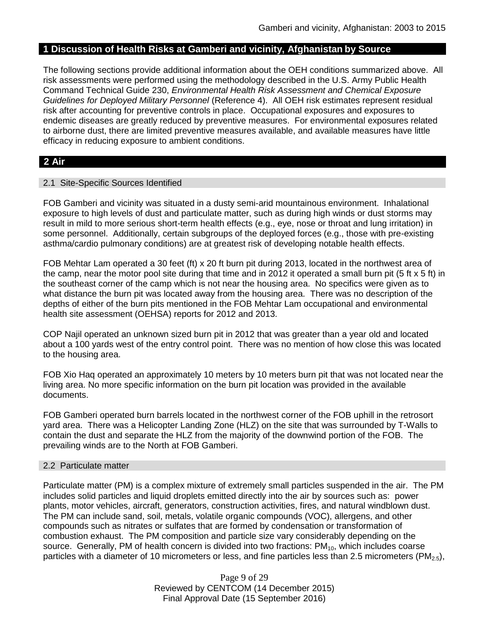# **1 Discussion of Health Risks at Gamberi and vicinity, Afghanistan by Source**

The following sections provide additional information about the OEH conditions summarized above. All risk assessments were performed using the methodology described in the U.S. Army Public Health Command Technical Guide 230, *Environmental Health Risk Assessment and Chemical Exposure Guidelines for Deployed Military Personnel* (Reference 4). All OEH risk estimates represent residual risk after accounting for preventive controls in place. Occupational exposures and exposures to endemic diseases are greatly reduced by preventive measures. For environmental exposures related to airborne dust, there are limited preventive measures available, and available measures have little efficacy in reducing exposure to ambient conditions.

# **2 Air**

### 2.1 Site-Specific Sources Identified

FOB Gamberi and vicinity was situated in a dusty semi-arid mountainous environment. Inhalational exposure to high levels of dust and particulate matter, such as during high winds or dust storms may result in mild to more serious short-term health effects (e.g., eye, nose or throat and lung irritation) in some personnel. Additionally, certain subgroups of the deployed forces (e.g., those with pre-existing asthma/cardio pulmonary conditions) are at greatest risk of developing notable health effects.

FOB Mehtar Lam operated a 30 feet (ft) x 20 ft burn pit during 2013, located in the northwest area of the camp, near the motor pool site during that time and in 2012 it operated a small burn pit (5 ft x 5 ft) in the southeast corner of the camp which is not near the housing area. No specifics were given as to what distance the burn pit was located away from the housing area. There was no description of the depths of either of the burn pits mentioned in the FOB Mehtar Lam occupational and environmental health site assessment (OEHSA) reports for 2012 and 2013.

COP Najil operated an unknown sized burn pit in 2012 that was greater than a year old and located about a 100 yards west of the entry control point. There was no mention of how close this was located to the housing area.

FOB Xio Haq operated an approximately 10 meters by 10 meters burn pit that was not located near the living area. No more specific information on the burn pit location was provided in the available documents.

FOB Gamberi operated burn barrels located in the northwest corner of the FOB uphill in the retrosort yard area. There was a Helicopter Landing Zone (HLZ) on the site that was surrounded by T-Walls to contain the dust and separate the HLZ from the majority of the downwind portion of the FOB. The prevailing winds are to the North at FOB Gamberi.

#### 2.2 Particulate matter

Particulate matter (PM) is a complex mixture of extremely small particles suspended in the air. The PM includes solid particles and liquid droplets emitted directly into the air by sources such as: power plants, motor vehicles, aircraft, generators, construction activities, fires, and natural windblown dust. The PM can include sand, soil, metals, volatile organic compounds (VOC), allergens, and other compounds such as nitrates or sulfates that are formed by condensation or transformation of combustion exhaust. The PM composition and particle size vary considerably depending on the source. Generally, PM of health concern is divided into two fractions:  $PM_{10}$ , which includes coarse particles with a diameter of 10 micrometers or less, and fine particles less than 2.5 micrometers (PM<sub>2.5</sub>),

> Page 9 of 29 Reviewed by CENTCOM (14 December 2015) Final Approval Date (15 September 2016)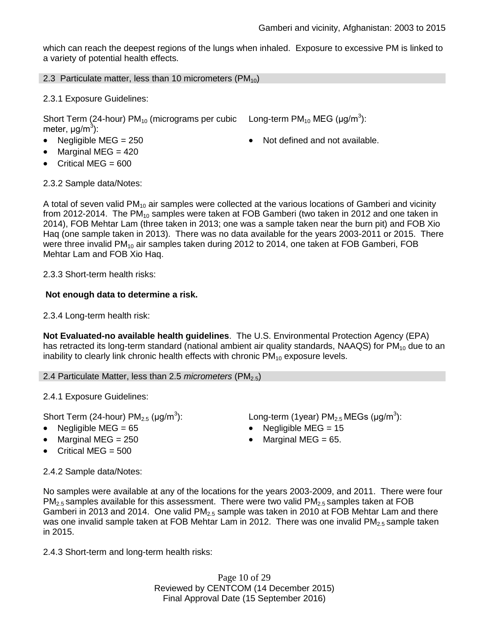which can reach the deepest regions of the lungs when inhaled. Exposure to excessive PM is linked to a variety of potential health effects.

### 2.3 Particulate matter, less than 10 micrometers  $(PM_{10})$

2.3.1 Exposure Guidelines:

Short Term (24-hour) PM<sub>10</sub> (micrograms per cubic Long-term PM<sub>10</sub> MEG (µg/m<sup>3</sup>): meter, μg/m<sup>3</sup>):

- Negligible MEG = 250 **a** Not defined and not available.
- Marginal MEG = 420
- $\bullet$  Critical MEG = 600

2.3.2 Sample data/Notes:

A total of seven valid  $PM_{10}$  air samples were collected at the various locations of Gamberi and vicinity from 2012-2014. The  $PM_{10}$  samples were taken at FOB Gamberi (two taken in 2012 and one taken in 2014), FOB Mehtar Lam (three taken in 2013; one was a sample taken near the burn pit) and FOB Xio Haq (one sample taken in 2013). There was no data available for the years 2003-2011 or 2015. There were three invalid  $PM_{10}$  air samples taken during 2012 to 2014, one taken at FOB Gamberi, FOB Mehtar Lam and FOB Xio Haq.

2.3.3 Short-term health risks:

## **Not enough data to determine a risk.**

2.3.4 Long-term health risk:

**Not Evaluated-no available health guidelines**. The U.S. Environmental Protection Agency (EPA) has retracted its long-term standard (national ambient air quality standards, NAAQS) for  $PM_{10}$  due to an inability to clearly link chronic health effects with chronic  $PM_{10}$  exposure levels.

2.4 Particulate Matter, less than 2.5 *micrometers* (PM<sub>2.5</sub>)

2.4.1 Exposure Guidelines:

Short Term (24-hour)  $PM<sub>2.5</sub>$  ( $\mu$ g/m<sup>3</sup>):

- 
- 
- $\bullet$  Critical MEG = 500

):  $\hspace{1cm}$  Long-term (1year) PM $_{2.5}$  MEGs (µg/m $^3$ ):

- Negligible MEG = 65 **Negligible MEG = 15** 
	- Marginal MEG =  $250$   $\bullet$  Marginal MEG =  $65$ .

### 2.4.2 Sample data/Notes:

No samples were available at any of the locations for the years 2003-2009, and 2011. There were four  $PM_{2.5}$  samples available for this assessment. There were two valid PM<sub>2.5</sub> samples taken at FOB Gamberi in 2013 and 2014. One valid  $PM<sub>2.5</sub>$  sample was taken in 2010 at FOB Mehtar Lam and there was one invalid sample taken at FOB Mehtar Lam in 2012. There was one invalid  $PM_{2.5}$  sample taken in 2015.

2.4.3 Short-term and long-term health risks:

Page 10 of 29 Reviewed by CENTCOM (14 December 2015) Final Approval Date (15 September 2016)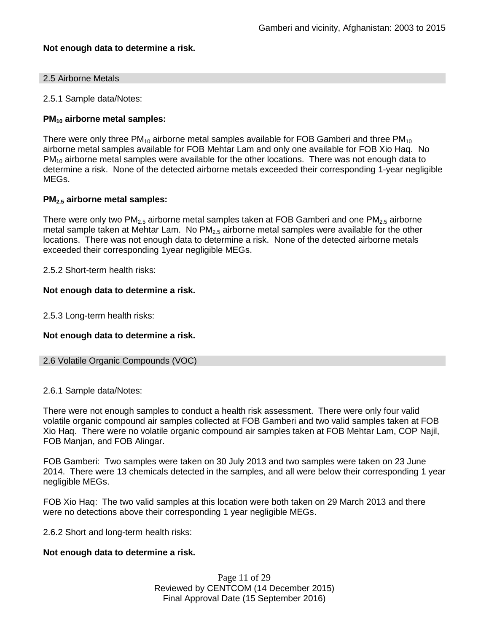### **Not enough data to determine a risk.**

#### 2.5 Airborne Metals

2.5.1 Sample data/Notes:

### **PM<sup>10</sup> airborne metal samples:**

There were only three  $PM_{10}$  airborne metal samples available for FOB Gamberi and three  $PM_{10}$ airborne metal samples available for FOB Mehtar Lam and only one available for FOB Xio Haq. No  $PM_{10}$  airborne metal samples were available for the other locations. There was not enough data to determine a risk. None of the detected airborne metals exceeded their corresponding 1-year negligible MEGs.

### **PM2.5 airborne metal samples:**

There were only two  $PM<sub>2.5</sub>$  airborne metal samples taken at FOB Gamberi and one  $PM<sub>2.5</sub>$  airborne metal sample taken at Mehtar Lam. No  $PM<sub>2.5</sub>$  airborne metal samples were available for the other locations. There was not enough data to determine a risk. None of the detected airborne metals exceeded their corresponding 1year negligible MEGs.

2.5.2 Short-term health risks:

### **Not enough data to determine a risk.**

2.5.3 Long-term health risks:

#### **Not enough data to determine a risk.**

```
2.6 Volatile Organic Compounds (VOC)
```
#### 2.6.1 Sample data/Notes:

There were not enough samples to conduct a health risk assessment. There were only four valid volatile organic compound air samples collected at FOB Gamberi and two valid samples taken at FOB Xio Haq. There were no volatile organic compound air samples taken at FOB Mehtar Lam, COP Najil, FOB Manjan, and FOB Alingar.

FOB Gamberi: Two samples were taken on 30 July 2013 and two samples were taken on 23 June 2014. There were 13 chemicals detected in the samples, and all were below their corresponding 1 year negligible MEGs.

FOB Xio Haq: The two valid samples at this location were both taken on 29 March 2013 and there were no detections above their corresponding 1 year negligible MEGs.

2.6.2 Short and long-term health risks:

#### **Not enough data to determine a risk.**

Page 11 of 29 Reviewed by CENTCOM (14 December 2015) Final Approval Date (15 September 2016)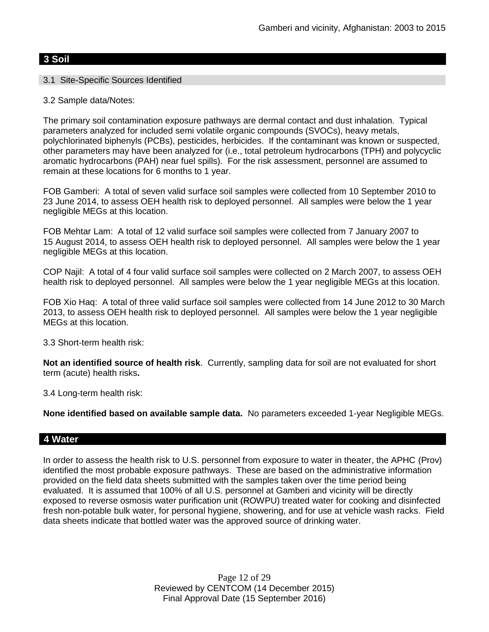## **3 Soil**

### 3.1 Site-Specific Sources Identified

### 3.2 Sample data/Notes:

The primary soil contamination exposure pathways are dermal contact and dust inhalation. Typical parameters analyzed for included semi volatile organic compounds (SVOCs), heavy metals, polychlorinated biphenyls (PCBs), pesticides, herbicides. If the contaminant was known or suspected, other parameters may have been analyzed for (i.e., total petroleum hydrocarbons (TPH) and polycyclic aromatic hydrocarbons (PAH) near fuel spills). For the risk assessment, personnel are assumed to remain at these locations for 6 months to 1 year.

FOB Gamberi: A total of seven valid surface soil samples were collected from 10 September 2010 to 23 June 2014, to assess OEH health risk to deployed personnel. All samples were below the 1 year negligible MEGs at this location.

FOB Mehtar Lam: A total of 12 valid surface soil samples were collected from 7 January 2007 to 15 August 2014, to assess OEH health risk to deployed personnel. All samples were below the 1 year negligible MEGs at this location.

COP Najil: A total of 4 four valid surface soil samples were collected on 2 March 2007, to assess OEH health risk to deployed personnel. All samples were below the 1 year negligible MEGs at this location.

FOB Xio Haq: A total of three valid surface soil samples were collected from 14 June 2012 to 30 March 2013, to assess OEH health risk to deployed personnel. All samples were below the 1 year negligible MEGs at this location.

3.3 Short-term health risk:

**Not an identified source of health risk**. Currently, sampling data for soil are not evaluated for short term (acute) health risks**.**

3.4 Long-term health risk:

**None identified based on available sample data.** No parameters exceeded 1-year Negligible MEGs.

### **4 Water**

In order to assess the health risk to U.S. personnel from exposure to water in theater, the APHC (Prov) identified the most probable exposure pathways. These are based on the administrative information provided on the field data sheets submitted with the samples taken over the time period being evaluated. It is assumed that 100% of all U.S. personnel at Gamberi and vicinity will be directly exposed to reverse osmosis water purification unit (ROWPU) treated water for cooking and disinfected fresh non-potable bulk water, for personal hygiene, showering, and for use at vehicle wash racks. Field data sheets indicate that bottled water was the approved source of drinking water.

> Page 12 of 29 Reviewed by CENTCOM (14 December 2015) Final Approval Date (15 September 2016)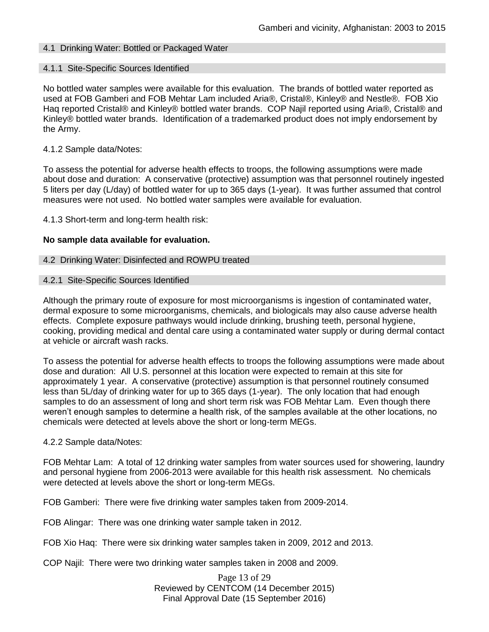### 4.1 Drinking Water: Bottled or Packaged Water

#### 4.1.1 Site-Specific Sources Identified

No bottled water samples were available for this evaluation. The brands of bottled water reported as used at FOB Gamberi and FOB Mehtar Lam included Aria®, Cristal®, Kinley® and Nestle®. FOB Xio Haq reported Cristal® and Kinley® bottled water brands. COP Najil reported using Aria®, Cristal® and Kinley® bottled water brands. Identification of a trademarked product does not imply endorsement by the Army.

#### 4.1.2 Sample data/Notes:

To assess the potential for adverse health effects to troops, the following assumptions were made about dose and duration: A conservative (protective) assumption was that personnel routinely ingested 5 liters per day (L/day) of bottled water for up to 365 days (1-year). It was further assumed that control measures were not used. No bottled water samples were available for evaluation.

4.1.3 Short-term and long-term health risk:

#### **No sample data available for evaluation.**

#### 4.2 Drinking Water: Disinfected and ROWPU treated

#### 4.2.1 Site-Specific Sources Identified

Although the primary route of exposure for most microorganisms is ingestion of contaminated water, dermal exposure to some microorganisms, chemicals, and biologicals may also cause adverse health effects. Complete exposure pathways would include drinking, brushing teeth, personal hygiene, cooking, providing medical and dental care using a contaminated water supply or during dermal contact at vehicle or aircraft wash racks.

To assess the potential for adverse health effects to troops the following assumptions were made about dose and duration: All U.S. personnel at this location were expected to remain at this site for approximately 1 year. A conservative (protective) assumption is that personnel routinely consumed less than 5L/day of drinking water for up to 365 days (1-year). The only location that had enough samples to do an assessment of long and short term risk was FOB Mehtar Lam. Even though there weren't enough samples to determine a health risk, of the samples available at the other locations, no chemicals were detected at levels above the short or long-term MEGs.

#### 4.2.2 Sample data/Notes:

FOB Mehtar Lam: A total of 12 drinking water samples from water sources used for showering, laundry and personal hygiene from 2006-2013 were available for this health risk assessment. No chemicals were detected at levels above the short or long-term MEGs.

FOB Gamberi: There were five drinking water samples taken from 2009-2014.

FOB Alingar: There was one drinking water sample taken in 2012.

FOB Xio Haq: There were six drinking water samples taken in 2009, 2012 and 2013.

COP Najil: There were two drinking water samples taken in 2008 and 2009.

Page 13 of 29 Reviewed by CENTCOM (14 December 2015) Final Approval Date (15 September 2016)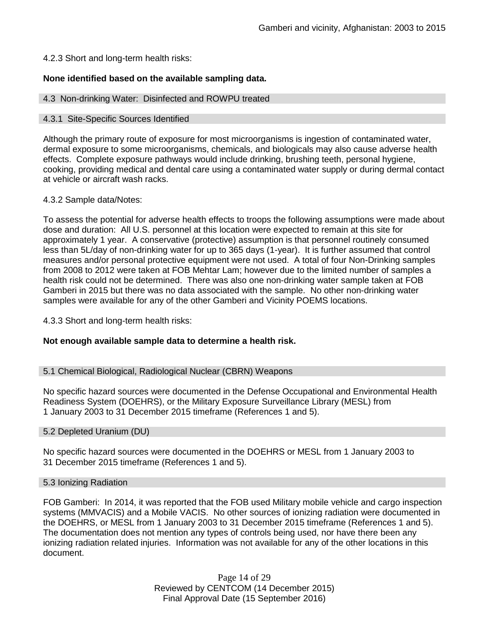### 4.2.3 Short and long-term health risks:

### **None identified based on the available sampling data.**

#### 4.3 Non-drinking Water: Disinfected and ROWPU treated

#### 4.3.1 Site-Specific Sources Identified

Although the primary route of exposure for most microorganisms is ingestion of contaminated water, dermal exposure to some microorganisms, chemicals, and biologicals may also cause adverse health effects. Complete exposure pathways would include drinking, brushing teeth, personal hygiene, cooking, providing medical and dental care using a contaminated water supply or during dermal contact at vehicle or aircraft wash racks.

#### 4.3.2 Sample data/Notes:

To assess the potential for adverse health effects to troops the following assumptions were made about dose and duration: All U.S. personnel at this location were expected to remain at this site for approximately 1 year. A conservative (protective) assumption is that personnel routinely consumed less than 5L/day of non-drinking water for up to 365 days (1-year). It is further assumed that control measures and/or personal protective equipment were not used. A total of four Non-Drinking samples from 2008 to 2012 were taken at FOB Mehtar Lam; however due to the limited number of samples a health risk could not be determined. There was also one non-drinking water sample taken at FOB Gamberi in 2015 but there was no data associated with the sample. No other non-drinking water samples were available for any of the other Gamberi and Vicinity POEMS locations.

4.3.3 Short and long-term health risks:

#### **Not enough available sample data to determine a health risk.**

#### 5.1 Chemical Biological, Radiological Nuclear (CBRN) Weapons

No specific hazard sources were documented in the Defense Occupational and Environmental Health Readiness System (DOEHRS), or the Military Exposure Surveillance Library (MESL) from 1 January 2003 to 31 December 2015 timeframe (References 1 and 5).

#### 5.2 Depleted Uranium (DU)

No specific hazard sources were documented in the DOEHRS or MESL from 1 January 2003 to 31 December 2015 timeframe (References 1 and 5).

#### 5.3 Ionizing Radiation

FOB Gamberi: In 2014, it was reported that the FOB used Military mobile vehicle and cargo inspection systems (MMVACIS) and a Mobile VACIS. No other sources of ionizing radiation were documented in the DOEHRS, or MESL from 1 January 2003 to 31 December 2015 timeframe (References 1 and 5). The documentation does not mention any types of controls being used, nor have there been any ionizing radiation related injuries. Information was not available for any of the other locations in this document.

> Page 14 of 29 Reviewed by CENTCOM (14 December 2015) Final Approval Date (15 September 2016)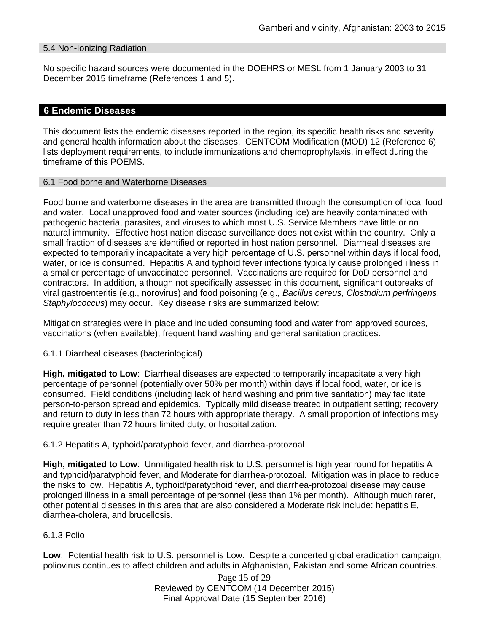### 5.4 Non-Ionizing Radiation

No specific hazard sources were documented in the DOEHRS or MESL from 1 January 2003 to 31 December 2015 timeframe (References 1 and 5).

### **6 Endemic Diseases**

This document lists the endemic diseases reported in the region, its specific health risks and severity and general health information about the diseases. CENTCOM Modification (MOD) 12 (Reference 6) lists deployment requirements, to include immunizations and chemoprophylaxis, in effect during the timeframe of this POEMS.

### 6.1 Food borne and Waterborne Diseases

Food borne and waterborne diseases in the area are transmitted through the consumption of local food and water. Local unapproved food and water sources (including ice) are heavily contaminated with pathogenic bacteria, parasites, and viruses to which most U.S. Service Members have little or no natural immunity. Effective host nation disease surveillance does not exist within the country. Only a small fraction of diseases are identified or reported in host nation personnel. Diarrheal diseases are expected to temporarily incapacitate a very high percentage of U.S. personnel within days if local food, water, or ice is consumed. Hepatitis A and typhoid fever infections typically cause prolonged illness in a smaller percentage of unvaccinated personnel. Vaccinations are required for DoD personnel and contractors. In addition, although not specifically assessed in this document, significant outbreaks of viral gastroenteritis (e.g., norovirus) and food poisoning (e.g., *Bacillus cereus*, *Clostridium perfringens*, *Staphylococcus*) may occur. Key disease risks are summarized below:

Mitigation strategies were in place and included consuming food and water from approved sources, vaccinations (when available), frequent hand washing and general sanitation practices.

#### 6.1.1 Diarrheal diseases (bacteriological)

**High, mitigated to Low**: Diarrheal diseases are expected to temporarily incapacitate a very high percentage of personnel (potentially over 50% per month) within days if local food, water, or ice is consumed. Field conditions (including lack of hand washing and primitive sanitation) may facilitate person-to-person spread and epidemics. Typically mild disease treated in outpatient setting; recovery and return to duty in less than 72 hours with appropriate therapy. A small proportion of infections may require greater than 72 hours limited duty, or hospitalization.

#### 6.1.2 Hepatitis A, typhoid/paratyphoid fever, and diarrhea-protozoal

**High, mitigated to Low**: Unmitigated health risk to U.S. personnel is high year round for hepatitis A and typhoid/paratyphoid fever, and Moderate for diarrhea-protozoal. Mitigation was in place to reduce the risks to low. Hepatitis A, typhoid/paratyphoid fever, and diarrhea-protozoal disease may cause prolonged illness in a small percentage of personnel (less than 1% per month). Although much rarer, other potential diseases in this area that are also considered a Moderate risk include: hepatitis E, diarrhea-cholera, and brucellosis.

### 6.1.3 Polio

**Low**: Potential health risk to U.S. personnel is Low. Despite a concerted global eradication campaign, poliovirus continues to affect children and adults in Afghanistan, Pakistan and some African countries.

> Page 15 of 29 Reviewed by CENTCOM (14 December 2015) Final Approval Date (15 September 2016)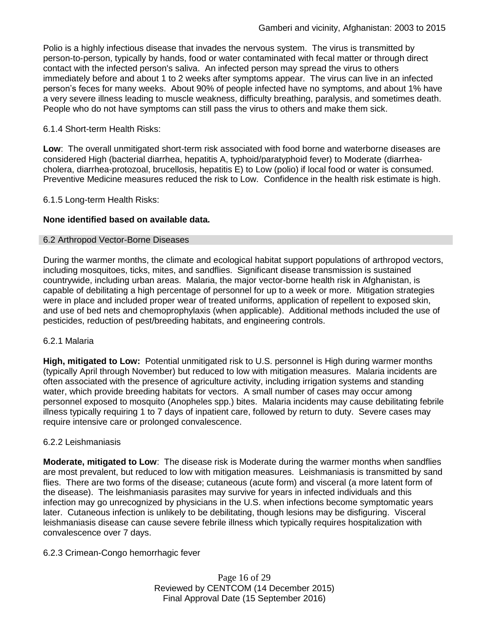Polio is a highly infectious disease that invades the nervous system. The virus is transmitted by person-to-person, typically by hands, food or water contaminated with fecal matter or through direct contact with the infected person's saliva. An infected person may spread the virus to others immediately before and about 1 to 2 weeks after symptoms appear. The virus can live in an infected person's feces for many weeks. About 90% of people infected have no symptoms, and about 1% have a very severe illness leading to muscle weakness, difficulty breathing, paralysis, and sometimes death. People who do not have symptoms can still pass the virus to others and make them sick.

### 6.1.4 Short-term Health Risks:

**Low**: The overall unmitigated short-term risk associated with food borne and waterborne diseases are considered High (bacterial diarrhea, hepatitis A, typhoid/paratyphoid fever) to Moderate (diarrheacholera, diarrhea-protozoal, brucellosis, hepatitis E) to Low (polio) if local food or water is consumed. Preventive Medicine measures reduced the risk to Low. Confidence in the health risk estimate is high.

### 6.1.5 Long-term Health Risks:

### **None identified based on available data.**

### 6.2 Arthropod Vector-Borne Diseases

During the warmer months, the climate and ecological habitat support populations of arthropod vectors, including mosquitoes, ticks, mites, and sandflies. Significant disease transmission is sustained countrywide, including urban areas. Malaria, the major vector-borne health risk in Afghanistan, is capable of debilitating a high percentage of personnel for up to a week or more. Mitigation strategies were in place and included proper wear of treated uniforms, application of repellent to exposed skin, and use of bed nets and chemoprophylaxis (when applicable). Additional methods included the use of pesticides, reduction of pest/breeding habitats, and engineering controls.

#### 6.2.1 Malaria

**High, mitigated to Low:** Potential unmitigated risk to U.S. personnel is High during warmer months (typically April through November) but reduced to low with mitigation measures. Malaria incidents are often associated with the presence of agriculture activity, including irrigation systems and standing water, which provide breeding habitats for vectors. A small number of cases may occur among personnel exposed to mosquito (Anopheles spp.) bites. Malaria incidents may cause debilitating febrile illness typically requiring 1 to 7 days of inpatient care, followed by return to duty. Severe cases may require intensive care or prolonged convalescence.

#### 6.2.2 Leishmaniasis

**Moderate, mitigated to Low**: The disease risk is Moderate during the warmer months when sandflies are most prevalent, but reduced to low with mitigation measures. Leishmaniasis is transmitted by sand flies. There are two forms of the disease; cutaneous (acute form) and visceral (a more latent form of the disease). The leishmaniasis parasites may survive for years in infected individuals and this infection may go unrecognized by physicians in the U.S. when infections become symptomatic years later. Cutaneous infection is unlikely to be debilitating, though lesions may be disfiguring. Visceral leishmaniasis disease can cause severe febrile illness which typically requires hospitalization with convalescence over 7 days.

### 6.2.3 Crimean-Congo hemorrhagic fever

Page 16 of 29 Reviewed by CENTCOM (14 December 2015) Final Approval Date (15 September 2016)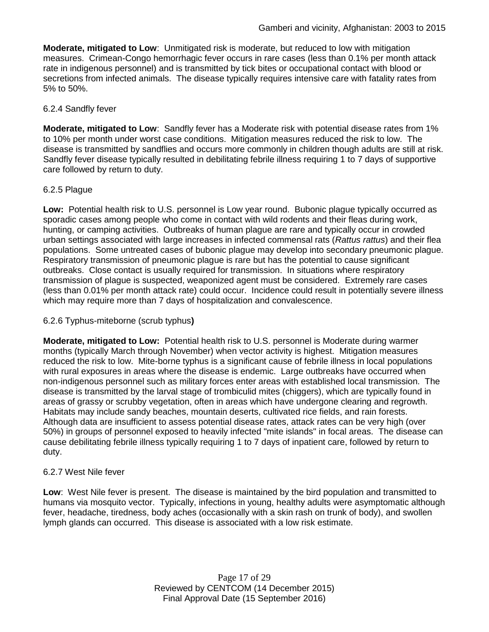**Moderate, mitigated to Low**: Unmitigated risk is moderate, but reduced to low with mitigation measures. Crimean-Congo hemorrhagic fever occurs in rare cases (less than 0.1% per month attack rate in indigenous personnel) and is transmitted by tick bites or occupational contact with blood or secretions from infected animals. The disease typically requires intensive care with fatality rates from 5% to 50%.

### 6.2.4 Sandfly fever

**Moderate, mitigated to Low**: Sandfly fever has a Moderate risk with potential disease rates from 1% to 10% per month under worst case conditions. Mitigation measures reduced the risk to low. The disease is transmitted by sandflies and occurs more commonly in children though adults are still at risk. Sandfly fever disease typically resulted in debilitating febrile illness requiring 1 to 7 days of supportive care followed by return to duty.

## 6.2.5 Plague

**Low:** Potential health risk to U.S. personnel is Low year round. Bubonic plague typically occurred as sporadic cases among people who come in contact with wild rodents and their fleas during work, hunting, or camping activities. Outbreaks of human plague are rare and typically occur in crowded urban settings associated with large increases in infected commensal rats (*Rattus rattus*) and their flea populations. Some untreated cases of bubonic plague may develop into secondary pneumonic plague. Respiratory transmission of pneumonic plague is rare but has the potential to cause significant outbreaks. Close contact is usually required for transmission. In situations where respiratory transmission of plague is suspected, weaponized agent must be considered. Extremely rare cases (less than 0.01% per month attack rate) could occur. Incidence could result in potentially severe illness which may require more than 7 days of hospitalization and convalescence.

### 6.2.6 Typhus-miteborne (scrub typhus**)**

**Moderate, mitigated to Low:** Potential health risk to U.S. personnel is Moderate during warmer months (typically March through November) when vector activity is highest. Mitigation measures reduced the risk to low. Mite-borne typhus is a significant cause of febrile illness in local populations with rural exposures in areas where the disease is endemic. Large outbreaks have occurred when non-indigenous personnel such as military forces enter areas with established local transmission. The disease is transmitted by the larval stage of trombiculid mites (chiggers), which are typically found in areas of grassy or scrubby vegetation, often in areas which have undergone clearing and regrowth. Habitats may include sandy beaches, mountain deserts, cultivated rice fields, and rain forests. Although data are insufficient to assess potential disease rates, attack rates can be very high (over 50%) in groups of personnel exposed to heavily infected "mite islands" in focal areas. The disease can cause debilitating febrile illness typically requiring 1 to 7 days of inpatient care, followed by return to duty.

### 6.2.7 West Nile fever

**Low**: West Nile fever is present. The disease is maintained by the bird population and transmitted to humans via mosquito vector. Typically, infections in young, healthy adults were asymptomatic although fever, headache, tiredness, body aches (occasionally with a skin rash on trunk of body), and swollen lymph glands can occurred. This disease is associated with a low risk estimate.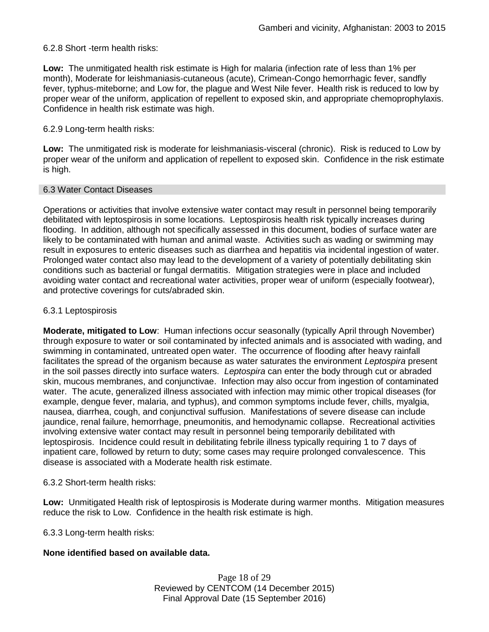### 6.2.8 Short -term health risks:

**Low:** The unmitigated health risk estimate is High for malaria (infection rate of less than 1% per month), Moderate for leishmaniasis-cutaneous (acute), Crimean-Congo hemorrhagic fever, sandfly fever, typhus-miteborne; and Low for, the plague and West Nile fever. Health risk is reduced to low by proper wear of the uniform, application of repellent to exposed skin, and appropriate chemoprophylaxis. Confidence in health risk estimate was high.

### 6.2.9 Long-term health risks:

**Low:** The unmitigated risk is moderate for leishmaniasis-visceral (chronic). Risk is reduced to Low by proper wear of the uniform and application of repellent to exposed skin. Confidence in the risk estimate is high.

#### 6.3 Water Contact Diseases

Operations or activities that involve extensive water contact may result in personnel being temporarily debilitated with leptospirosis in some locations. Leptospirosis health risk typically increases during flooding. In addition, although not specifically assessed in this document, bodies of surface water are likely to be contaminated with human and animal waste. Activities such as wading or swimming may result in exposures to enteric diseases such as diarrhea and hepatitis via incidental ingestion of water. Prolonged water contact also may lead to the development of a variety of potentially debilitating skin conditions such as bacterial or fungal dermatitis. Mitigation strategies were in place and included avoiding water contact and recreational water activities, proper wear of uniform (especially footwear), and protective coverings for cuts/abraded skin.

### 6.3.1 Leptospirosis

**Moderate, mitigated to Low**: Human infections occur seasonally (typically April through November) through exposure to water or soil contaminated by infected animals and is associated with wading, and swimming in contaminated, untreated open water. The occurrence of flooding after heavy rainfall facilitates the spread of the organism because as water saturates the environment *Leptospira* present in the soil passes directly into surface waters. *Leptospira* can enter the body through cut or abraded skin, mucous membranes, and conjunctivae. Infection may also occur from ingestion of contaminated water. The acute, generalized illness associated with infection may mimic other tropical diseases (for example, dengue fever, malaria, and typhus), and common symptoms include fever, chills, myalgia, nausea, diarrhea, cough, and conjunctival suffusion. Manifestations of severe disease can include jaundice, renal failure, hemorrhage, pneumonitis, and hemodynamic collapse. Recreational activities involving extensive water contact may result in personnel being temporarily debilitated with leptospirosis. Incidence could result in debilitating febrile illness typically requiring 1 to 7 days of inpatient care, followed by return to duty; some cases may require prolonged convalescence. This disease is associated with a Moderate health risk estimate.

#### 6.3.2 Short-term health risks:

**Low:** Unmitigated Health risk of leptospirosis is Moderate during warmer months. Mitigation measures reduce the risk to Low. Confidence in the health risk estimate is high.

6.3.3 Long-term health risks:

#### **None identified based on available data.**

Page 18 of 29 Reviewed by CENTCOM (14 December 2015) Final Approval Date (15 September 2016)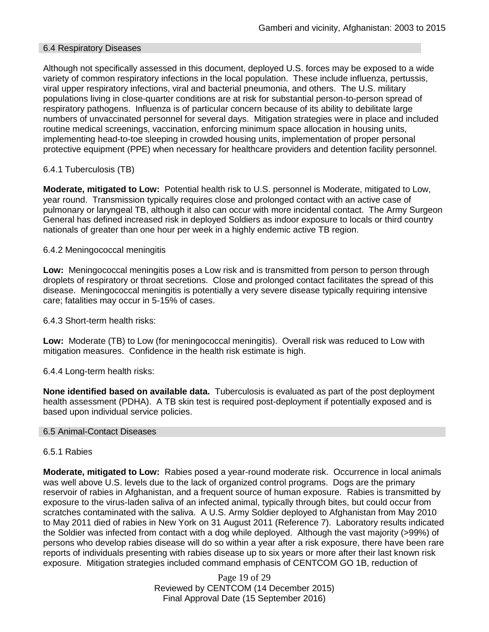### 6.4 Respiratory Diseases

Although not specifically assessed in this document, deployed U.S. forces may be exposed to a wide variety of common respiratory infections in the local population. These include influenza, pertussis, viral upper respiratory infections, viral and bacterial pneumonia, and others. The U.S. military populations living in close-quarter conditions are at risk for substantial person-to-person spread of respiratory pathogens. Influenza is of particular concern because of its ability to debilitate large numbers of unvaccinated personnel for several days. Mitigation strategies were in place and included routine medical screenings, vaccination, enforcing minimum space allocation in housing units, implementing head-to-toe sleeping in crowded housing units, implementation of proper personal protective equipment (PPE) when necessary for healthcare providers and detention facility personnel.

### 6.4.1 Tuberculosis (TB)

**Moderate, mitigated to Low:** Potential health risk to U.S. personnel is Moderate, mitigated to Low, year round. Transmission typically requires close and prolonged contact with an active case of pulmonary or laryngeal TB, although it also can occur with more incidental contact. The Army Surgeon General has defined increased risk in deployed Soldiers as indoor exposure to locals or third country nationals of greater than one hour per week in a highly endemic active TB region.

### 6.4.2 Meningococcal meningitis

**Low:** Meningococcal meningitis poses a Low risk and is transmitted from person to person through droplets of respiratory or throat secretions. Close and prolonged contact facilitates the spread of this disease. Meningococcal meningitis is potentially a very severe disease typically requiring intensive care; fatalities may occur in 5-15% of cases.

6.4.3 Short-term health risks:

**Low:** Moderate (TB) to Low (for meningococcal meningitis). Overall risk was reduced to Low with mitigation measures. Confidence in the health risk estimate is high.

6.4.4 Long-term health risks:

**None identified based on available data.** Tuberculosis is evaluated as part of the post deployment health assessment (PDHA). A TB skin test is required post-deployment if potentially exposed and is based upon individual service policies.

#### 6.5 Animal-Contact Diseases

#### 6.5.1 Rabies

**Moderate, mitigated to Low:** Rabies posed a year-round moderate risk. Occurrence in local animals was well above U.S. levels due to the lack of organized control programs. Dogs are the primary reservoir of rabies in Afghanistan, and a frequent source of human exposure. Rabies is transmitted by exposure to the virus-laden saliva of an infected animal, typically through bites, but could occur from scratches contaminated with the saliva. A U.S. Army Soldier deployed to Afghanistan from May 2010 to May 2011 died of rabies in New York on 31 August 2011 (Reference 7). Laboratory results indicated the Soldier was infected from contact with a dog while deployed. Although the vast majority (>99%) of persons who develop rabies disease will do so within a year after a risk exposure, there have been rare reports of individuals presenting with rabies disease up to six years or more after their last known risk exposure. Mitigation strategies included command emphasis of CENTCOM GO 1B, reduction of

> Page 19 of 29 Reviewed by CENTCOM (14 December 2015) Final Approval Date (15 September 2016)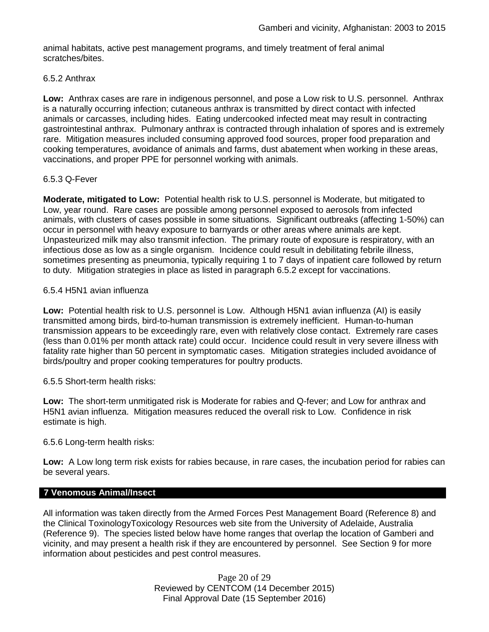animal habitats, active pest management programs, and timely treatment of feral animal scratches/bites.

### 6.5.2 Anthrax

**Low:** Anthrax cases are rare in indigenous personnel, and pose a Low risk to U.S. personnel. Anthrax is a naturally occurring infection; cutaneous anthrax is transmitted by direct contact with infected animals or carcasses, including hides. Eating undercooked infected meat may result in contracting gastrointestinal anthrax. Pulmonary anthrax is contracted through inhalation of spores and is extremely rare. Mitigation measures included consuming approved food sources, proper food preparation and cooking temperatures, avoidance of animals and farms, dust abatement when working in these areas, vaccinations, and proper PPE for personnel working with animals.

### 6.5.3 Q-Fever

**Moderate, mitigated to Low:** Potential health risk to U.S. personnel is Moderate, but mitigated to Low, year round. Rare cases are possible among personnel exposed to aerosols from infected animals, with clusters of cases possible in some situations. Significant outbreaks (affecting 1-50%) can occur in personnel with heavy exposure to barnyards or other areas where animals are kept. Unpasteurized milk may also transmit infection. The primary route of exposure is respiratory, with an infectious dose as low as a single organism. Incidence could result in debilitating febrile illness, sometimes presenting as pneumonia, typically requiring 1 to 7 days of inpatient care followed by return to duty. Mitigation strategies in place as listed in paragraph 6.5.2 except for vaccinations.

### 6.5.4 H5N1 avian influenza

**Low:** Potential health risk to U.S. personnel is Low. Although H5N1 avian influenza (AI) is easily transmitted among birds, bird-to-human transmission is extremely inefficient. Human-to-human transmission appears to be exceedingly rare, even with relatively close contact. Extremely rare cases (less than 0.01% per month attack rate) could occur. Incidence could result in very severe illness with fatality rate higher than 50 percent in symptomatic cases. Mitigation strategies included avoidance of birds/poultry and proper cooking temperatures for poultry products.

### 6.5.5 Short-term health risks:

**Low:** The short-term unmitigated risk is Moderate for rabies and Q-fever; and Low for anthrax and H5N1 avian influenza. Mitigation measures reduced the overall risk to Low.Confidence in risk estimate is high.

#### 6.5.6 Long-term health risks:

**Low:** A Low long term risk exists for rabies because, in rare cases, the incubation period for rabies can be several years.

### **7 Venomous Animal/Insect**

All information was taken directly from the Armed Forces Pest Management Board (Reference 8) and the Clinical ToxinologyToxicology Resources web site from the University of Adelaide, Australia (Reference 9). The species listed below have home ranges that overlap the location of Gamberi and vicinity, and may present a health risk if they are encountered by personnel. See Section 9 for more information about pesticides and pest control measures.

> Page 20 of 29 Reviewed by CENTCOM (14 December 2015) Final Approval Date (15 September 2016)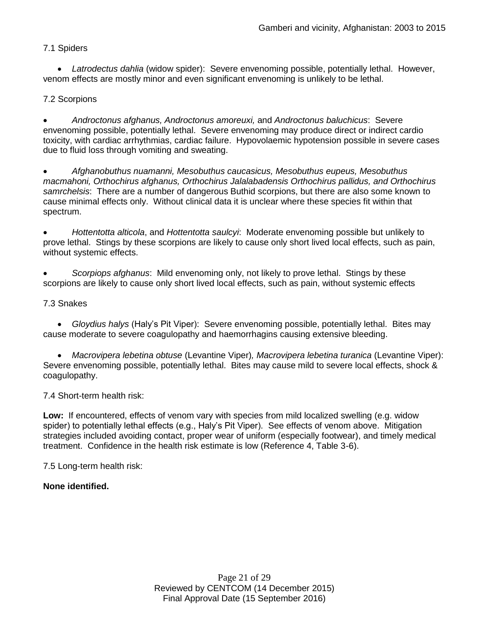## 7.1 Spiders

 *Latrodectus dahlia* (widow spider): Severe envenoming possible, potentially lethal. However, venom effects are mostly minor and even significant envenoming is unlikely to be lethal.

## 7.2 Scorpions

 *Androctonus afghanus, Androctonus amoreuxi,* and *Androctonus baluchicus*: Severe envenoming possible, potentially lethal. Severe envenoming may produce direct or indirect cardio toxicity, with cardiac arrhythmias, cardiac failure. Hypovolaemic hypotension possible in severe cases due to fluid loss through vomiting and sweating.

 *Afghanobuthus nuamanni, Mesobuthus caucasicus, Mesobuthus eupeus, Mesobuthus macmahoni, Orthochirus afghanus, Orthochirus Jalalabadensis Orthochirus pallidus, and Orthochirus samrchelsis*: There are a number of dangerous Buthid scorpions, but there are also some known to cause minimal effects only. Without clinical data it is unclear where these species fit within that spectrum.

 *Hottentotta alticola*, and *Hottentotta saulcyi*: Moderate envenoming possible but unlikely to prove lethal. Stings by these scorpions are likely to cause only short lived local effects, such as pain, without systemic effects.

 *Scorpiops afghanus*: Mild envenoming only, not likely to prove lethal. Stings by these scorpions are likely to cause only short lived local effects, such as pain, without systemic effects

### 7.3 Snakes

 *Gloydius halys* (Haly's Pit Viper): Severe envenoming possible, potentially lethal. Bites may cause moderate to severe coagulopathy and haemorrhagins causing extensive bleeding.

 *Macrovipera lebetina obtuse* (Levantine Viper)*, Macrovipera lebetina turanica* (Levantine Viper): Severe envenoming possible, potentially lethal. Bites may cause mild to severe local effects, shock & coagulopathy.

7.4 Short-term health risk:

**Low:** If encountered, effects of venom vary with species from mild localized swelling (e.g. widow spider) to potentially lethal effects (e.g., Haly's Pit Viper). See effects of venom above. Mitigation strategies included avoiding contact, proper wear of uniform (especially footwear), and timely medical treatment. Confidence in the health risk estimate is low (Reference 4, Table 3-6).

7.5 Long-term health risk:

### **None identified.**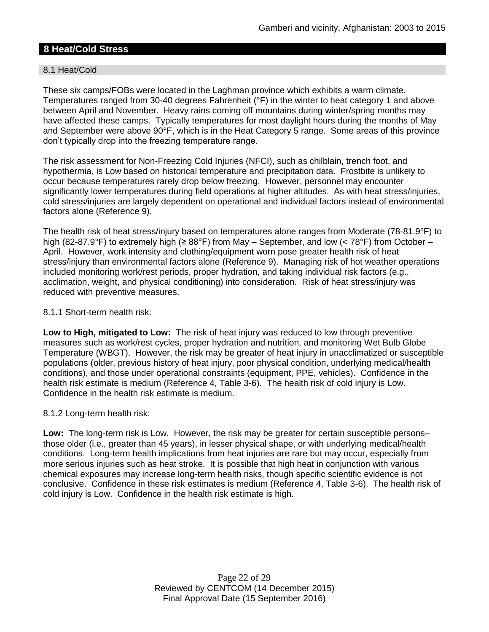# **8 Heat/Cold Stress**

### 8.1 Heat/Cold

These six camps/FOBs were located in the Laghman province which exhibits a warm climate. Temperatures ranged from 30-40 degrees Fahrenheit (°F) in the winter to heat category 1 and above between April and November. Heavy rains coming off mountains during winter/spring months may have affected these camps. Typically temperatures for most daylight hours during the months of May and September were above 90°F, which is in the Heat Category 5 range. Some areas of this province don't typically drop into the freezing temperature range.

The risk assessment for Non-Freezing Cold Injuries (NFCI), such as chilblain, trench foot, and hypothermia, is Low based on historical temperature and precipitation data. Frostbite is unlikely to occur because temperatures rarely drop below freezing. However, personnel may encounter significantly lower temperatures during field operations at higher altitudes. As with heat stress/injuries, cold stress/injuries are largely dependent on operational and individual factors instead of environmental factors alone (Reference 9).

The health risk of heat stress/injury based on temperatures alone ranges from Moderate (78-81.9°F) to high (82-87.9°F) to extremely high (≥ 88°F) from May – September, and low (< 78°F) from October – April. However, work intensity and clothing/equipment worn pose greater health risk of heat stress/injury than environmental factors alone (Reference 9). Managing risk of hot weather operations included monitoring work/rest periods, proper hydration, and taking individual risk factors (e.g., acclimation, weight, and physical conditioning) into consideration. Risk of heat stress/injury was reduced with preventive measures.

### 8.1.1 Short-term health risk:

**Low to High, mitigated to Low:** The risk of heat injury was reduced to low through preventive measures such as work/rest cycles, proper hydration and nutrition, and monitoring Wet Bulb Globe Temperature (WBGT). However, the risk may be greater of heat injury in unacclimatized or susceptible populations (older, previous history of heat injury, poor physical condition, underlying medical/health conditions), and those under operational constraints (equipment, PPE, vehicles). Confidence in the health risk estimate is medium (Reference 4, Table 3-6). The health risk of cold injury is Low. Confidence in the health risk estimate is medium.

### 8.1.2 Long-term health risk:

**Low:** The long-term risk is Low. However, the risk may be greater for certain susceptible persons– those older (i.e., greater than 45 years), in lesser physical shape, or with underlying medical/health conditions. Long-term health implications from heat injuries are rare but may occur, especially from more serious injuries such as heat stroke. It is possible that high heat in conjunction with various chemical exposures may increase long-term health risks, though specific scientific evidence is not conclusive. Confidence in these risk estimates is medium (Reference 4, Table 3-6). The health risk of cold injury is Low. Confidence in the health risk estimate is high.

> Page 22 of 29 Reviewed by CENTCOM (14 December 2015) Final Approval Date (15 September 2016)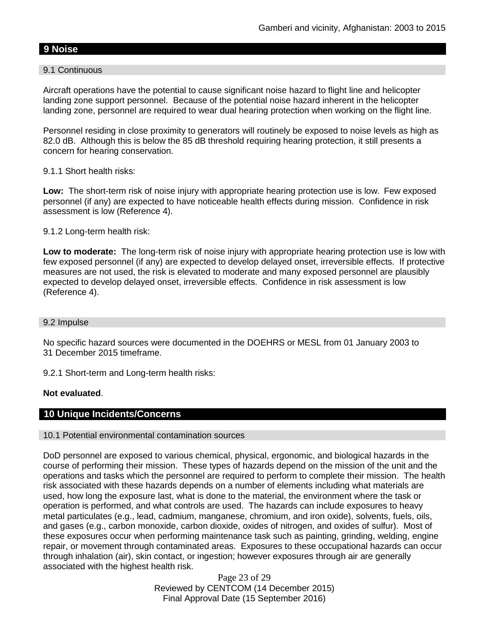# **9 Noise**

### 9.1 Continuous

Aircraft operations have the potential to cause significant noise hazard to flight line and helicopter landing zone support personnel. Because of the potential noise hazard inherent in the helicopter landing zone, personnel are required to wear dual hearing protection when working on the flight line.

Personnel residing in close proximity to generators will routinely be exposed to noise levels as high as 82.0 dB. Although this is below the 85 dB threshold requiring hearing protection, it still presents a concern for hearing conservation.

### 9.1.1 Short health risks:

**Low:** The short-term risk of noise injury with appropriate hearing protection use is low. Few exposed personnel (if any) are expected to have noticeable health effects during mission. Confidence in risk assessment is low (Reference 4).

### 9.1.2 Long-term health risk:

**Low to moderate:** The long-term risk of noise injury with appropriate hearing protection use is low with few exposed personnel (if any) are expected to develop delayed onset, irreversible effects. If protective measures are not used, the risk is elevated to moderate and many exposed personnel are plausibly expected to develop delayed onset, irreversible effects. Confidence in risk assessment is low (Reference 4).

#### 9.2 Impulse

No specific hazard sources were documented in the DOEHRS or MESL from 01 January 2003 to 31 December 2015 timeframe.

9.2.1 Short-term and Long-term health risks:

### **Not evaluated**.

### **10 Unique Incidents/Concerns**

#### 10.1 Potential environmental contamination sources

DoD personnel are exposed to various chemical, physical, ergonomic, and biological hazards in the course of performing their mission. These types of hazards depend on the mission of the unit and the operations and tasks which the personnel are required to perform to complete their mission. The health risk associated with these hazards depends on a number of elements including what materials are used, how long the exposure last, what is done to the material, the environment where the task or operation is performed, and what controls are used. The hazards can include exposures to heavy metal particulates (e.g., lead, cadmium, manganese, chromium, and iron oxide), solvents, fuels, oils, and gases (e.g., carbon monoxide, carbon dioxide, oxides of nitrogen, and oxides of sulfur). Most of these exposures occur when performing maintenance task such as painting, grinding, welding, engine repair, or movement through contaminated areas. Exposures to these occupational hazards can occur through inhalation (air), skin contact, or ingestion; however exposures through air are generally associated with the highest health risk.

> Page 23 of 29 Reviewed by CENTCOM (14 December 2015) Final Approval Date (15 September 2016)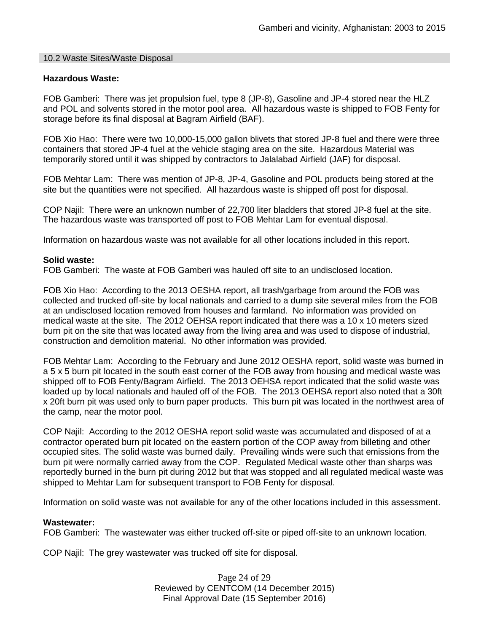#### 10.2 Waste Sites/Waste Disposal

#### **Hazardous Waste:**

FOB Gamberi: There was jet propulsion fuel, type 8 (JP-8), Gasoline and JP-4 stored near the HLZ and POL and solvents stored in the motor pool area. All hazardous waste is shipped to FOB Fenty for storage before its final disposal at Bagram Airfield (BAF).

FOB Xio Hao: There were two 10,000-15,000 gallon blivets that stored JP-8 fuel and there were three containers that stored JP-4 fuel at the vehicle staging area on the site. Hazardous Material was temporarily stored until it was shipped by contractors to Jalalabad Airfield (JAF) for disposal.

FOB Mehtar Lam: There was mention of JP-8, JP-4, Gasoline and POL products being stored at the site but the quantities were not specified. All hazardous waste is shipped off post for disposal.

COP Najil: There were an unknown number of 22,700 liter bladders that stored JP-8 fuel at the site. The hazardous waste was transported off post to FOB Mehtar Lam for eventual disposal.

Information on hazardous waste was not available for all other locations included in this report.

#### **Solid waste:**

FOB Gamberi: The waste at FOB Gamberi was hauled off site to an undisclosed location.

FOB Xio Hao: According to the 2013 OESHA report, all trash/garbage from around the FOB was collected and trucked off-site by local nationals and carried to a dump site several miles from the FOB at an undisclosed location removed from houses and farmland. No information was provided on medical waste at the site. The 2012 OEHSA report indicated that there was a 10 x 10 meters sized burn pit on the site that was located away from the living area and was used to dispose of industrial, construction and demolition material. No other information was provided.

FOB Mehtar Lam: According to the February and June 2012 OESHA report, solid waste was burned in a 5 x 5 burn pit located in the south east corner of the FOB away from housing and medical waste was shipped off to FOB Fenty/Bagram Airfield. The 2013 OEHSA report indicated that the solid waste was loaded up by local nationals and hauled off of the FOB. The 2013 OEHSA report also noted that a 30ft x 20ft burn pit was used only to burn paper products. This burn pit was located in the northwest area of the camp, near the motor pool.

COP Najil: According to the 2012 OESHA report solid waste was accumulated and disposed of at a contractor operated burn pit located on the eastern portion of the COP away from billeting and other occupied sites. The solid waste was burned daily. Prevailing winds were such that emissions from the burn pit were normally carried away from the COP. Regulated Medical waste other than sharps was reportedly burned in the burn pit during 2012 but that was stopped and all regulated medical waste was shipped to Mehtar Lam for subsequent transport to FOB Fenty for disposal.

Information on solid waste was not available for any of the other locations included in this assessment.

#### **Wastewater:**

FOB Gamberi: The wastewater was either trucked off-site or piped off-site to an unknown location.

COP Najil: The grey wastewater was trucked off site for disposal.

Page 24 of 29 Reviewed by CENTCOM (14 December 2015) Final Approval Date (15 September 2016)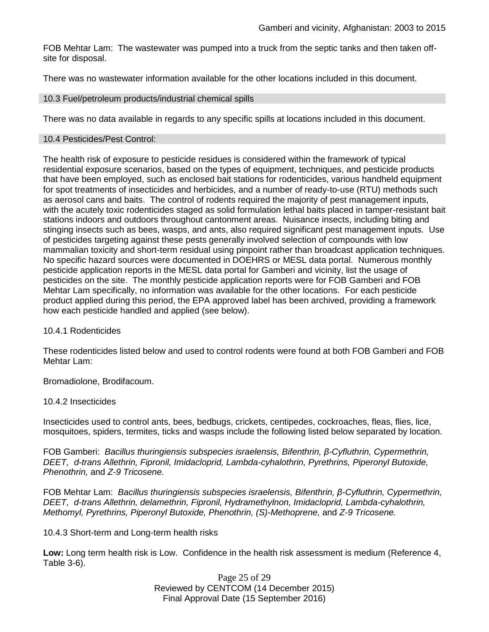FOB Mehtar Lam: The wastewater was pumped into a truck from the septic tanks and then taken offsite for disposal.

There was no wastewater information available for the other locations included in this document.

#### 10.3 Fuel/petroleum products/industrial chemical spills

There was no data available in regards to any specific spills at locations included in this document.

#### 10.4 Pesticides/Pest Control:

The health risk of exposure to pesticide residues is considered within the framework of typical residential exposure scenarios, based on the types of equipment, techniques, and pesticide products that have been employed, such as enclosed bait stations for rodenticides, various handheld equipment for spot treatments of insecticides and herbicides, and a number of ready-to-use (RTU) methods such as aerosol cans and baits. The control of rodents required the majority of pest management inputs, with the acutely toxic rodenticides staged as solid formulation lethal baits placed in tamper-resistant bait stations indoors and outdoors throughout cantonment areas. Nuisance insects, including biting and stinging insects such as bees, wasps, and ants, also required significant pest management inputs. Use of pesticides targeting against these pests generally involved selection of compounds with low mammalian toxicity and short-term residual using pinpoint rather than broadcast application techniques. No specific hazard sources were documented in DOEHRS or MESL data portal. Numerous monthly pesticide application reports in the MESL data portal for Gamberi and vicinity, list the usage of pesticides on the site. The monthly pesticide application reports were for FOB Gamberi and FOB Mehtar Lam specifically, no information was available for the other locations. For each pesticide product applied during this period, the EPA approved label has been archived, providing a framework how each pesticide handled and applied (see below).

#### 10.4.1 Rodenticides

These rodenticides listed below and used to control rodents were found at both FOB Gamberi and FOB Mehtar Lam:

Bromadiolone, Brodifacoum.

#### 10.4.2 Insecticides

Insecticides used to control ants, bees, bedbugs, crickets, centipedes, cockroaches, fleas, flies, lice, mosquitoes, spiders, termites, ticks and wasps include the following listed below separated by location.

FOB Gamberi: *Bacillus thuringiensis subspecies israelensis, Bifenthrin, β-Cyfluthrin, Cypermethrin, DEET, d-trans Allethrin, Fipronil, Imidacloprid, Lambda-cyhalothrin, Pyrethrins, Piperonyl Butoxide, Phenothrin,* and *Z-9 Tricosene.*

FOB Mehtar Lam: *Bacillus thuringiensis subspecies israelensis, Bifenthrin, β-Cyfluthrin, Cypermethrin, DEET, d-trans Allethrin, delamethrin, Fipronil, Hydramethylnon, Imidacloprid, Lambda-cyhalothrin, Methomyl, Pyrethrins, Piperonyl Butoxide, Phenothrin, (S)-Methoprene,* and *Z-9 Tricosene.*

10.4.3 Short-term and Long-term health risks

**Low:** Long term health risk is Low. Confidence in the health risk assessment is medium (Reference 4, Table 3-6).

> Page 25 of 29 Reviewed by CENTCOM (14 December 2015) Final Approval Date (15 September 2016)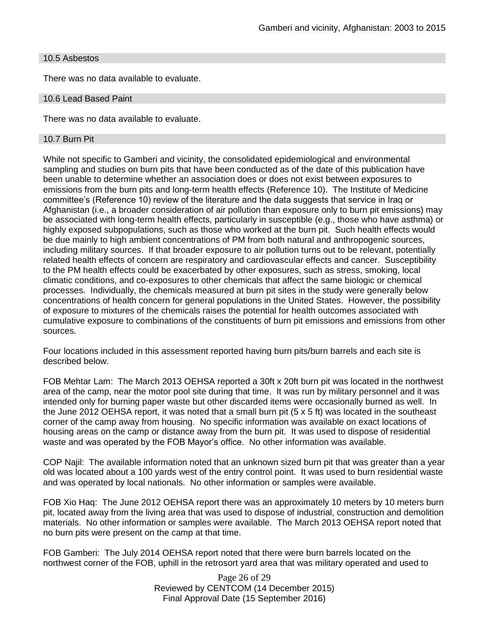#### 10.5 Asbestos

There was no data available to evaluate.

#### 10.6 Lead Based Paint

There was no data available to evaluate.

#### 10.7 Burn Pit

While not specific to Gamberi and vicinity, the consolidated epidemiological and environmental sampling and studies on burn pits that have been conducted as of the date of this publication have been unable to determine whether an association does or does not exist between exposures to emissions from the burn pits and long-term health effects (Reference 10). The Institute of Medicine committee's (Reference 10) review of the literature and the data suggests that service in Iraq or Afghanistan (i.e., a broader consideration of air pollution than exposure only to burn pit emissions) may be associated with long-term health effects, particularly in susceptible (e.g., those who have asthma) or highly exposed subpopulations, such as those who worked at the burn pit. Such health effects would be due mainly to high ambient concentrations of PM from both natural and anthropogenic sources, including military sources. If that broader exposure to air pollution turns out to be relevant, potentially related health effects of concern are respiratory and cardiovascular effects and cancer. Susceptibility to the PM health effects could be exacerbated by other exposures, such as stress, smoking, local climatic conditions, and co-exposures to other chemicals that affect the same biologic or chemical processes. Individually, the chemicals measured at burn pit sites in the study were generally below concentrations of health concern for general populations in the United States. However, the possibility of exposure to mixtures of the chemicals raises the potential for health outcomes associated with cumulative exposure to combinations of the constituents of burn pit emissions and emissions from other sources.

Four locations included in this assessment reported having burn pits/burn barrels and each site is described below.

FOB Mehtar Lam: The March 2013 OEHSA reported a 30ft x 20ft burn pit was located in the northwest area of the camp, near the motor pool site during that time. It was run by military personnel and it was intended only for burning paper waste but other discarded items were occasionally burned as well. In the June 2012 OEHSA report, it was noted that a small burn pit (5 x 5 ft) was located in the southeast corner of the camp away from housing. No specific information was available on exact locations of housing areas on the camp or distance away from the burn pit. It was used to dispose of residential waste and was operated by the FOB Mayor's office. No other information was available.

COP Najil: The available information noted that an unknown sized burn pit that was greater than a year old was located about a 100 yards west of the entry control point. It was used to burn residential waste and was operated by local nationals. No other information or samples were available.

FOB Xio Haq: The June 2012 OEHSA report there was an approximately 10 meters by 10 meters burn pit, located away from the living area that was used to dispose of industrial, construction and demolition materials. No other information or samples were available. The March 2013 OEHSA report noted that no burn pits were present on the camp at that time.

FOB Gamberi: The July 2014 OEHSA report noted that there were burn barrels located on the northwest corner of the FOB, uphill in the retrosort yard area that was military operated and used to

> Page 26 of 29 Reviewed by CENTCOM (14 December 2015) Final Approval Date (15 September 2016)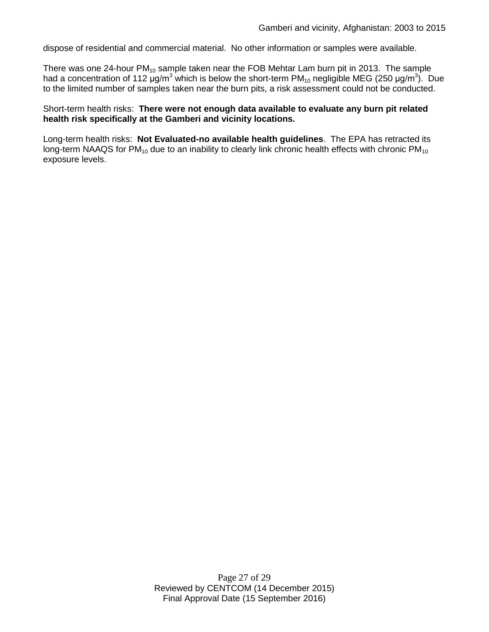dispose of residential and commercial material. No other information or samples were available.

There was one 24-hour  $PM_{10}$  sample taken near the FOB Mehtar Lam burn pit in 2013. The sample had a concentration of 112  $\mu$ g/m<sup>3</sup> which is below the short-term PM<sub>10</sub> negligible MEG (250  $\mu$ g/m<sup>3</sup>). Due to the limited number of samples taken near the burn pits, a risk assessment could not be conducted.

Short-term health risks: **There were not enough data available to evaluate any burn pit related health risk specifically at the Gamberi and vicinity locations.**

Long-term health risks: **Not Evaluated-no available health guidelines**. The EPA has retracted its long-term NAAQS for  $PM_{10}$  due to an inability to clearly link chronic health effects with chronic  $PM_{10}$ exposure levels.

> Page 27 of 29 Reviewed by CENTCOM (14 December 2015) Final Approval Date (15 September 2016)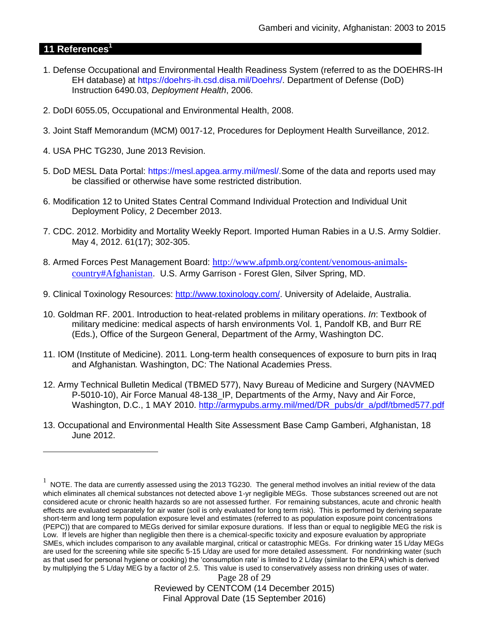# **11 References<sup>1</sup>**

 $\overline{a}$ 

- 1. Defense Occupational and Environmental Health Readiness System (referred to as the DOEHRS-IH EH database) at https://doehrs-ih.csd.disa.mil/Doehrs/. Department of Defense (DoD) Instruction 6490.03, *Deployment Health*, 2006.
- 2. DoDI 6055.05, Occupational and Environmental Health, 2008.
- 3. Joint Staff Memorandum (MCM) 0017-12, Procedures for Deployment Health Surveillance, 2012.
- 4. USA PHC TG230, June 2013 Revision.
- 5. DoD MESL Data Portal: https://mesl.apgea.army.mil/mesl/.Some of the data and reports used may be classified or otherwise have some restricted distribution.
- 6. Modification 12 to United States Central Command Individual Protection and Individual Unit Deployment Policy, 2 December 2013.
- 7. CDC. 2012. Morbidity and Mortality Weekly Report. Imported Human Rabies in a U.S. Army Soldier. May 4, 2012. 61(17); 302-305.
- 8. Armed Forces Pest Management Board: [http://www.afpmb.org/content/venomous-animals](http://www.afpmb.org/content/venomous-animals-country#Afghanistan)[country#Afghanistan](http://www.afpmb.org/content/venomous-animals-country#Afghanistan). U.S. Army Garrison - Forest Glen, Silver Spring, MD.
- 9. Clinical Toxinology Resources: [http://www.toxinology.com/.](http://www.toxinology.com/) University of Adelaide, Australia.
- 10. Goldman RF. 2001. Introduction to heat-related problems in military operations. *In*: Textbook of military medicine: medical aspects of harsh environments Vol. 1, Pandolf KB, and Burr RE (Eds.), Office of the Surgeon General, Department of the Army, Washington DC.
- 11. IOM (Institute of Medicine). 2011*.* Long-term health consequences of exposure to burn pits in Iraq and Afghanistan*.* Washington, DC: The National Academies Press.
- 12. Army Technical Bulletin Medical (TBMED 577), Navy Bureau of Medicine and Surgery (NAVMED P-5010-10), Air Force Manual 48-138\_IP, Departments of the Army, Navy and Air Force, Washington, D.C., 1 MAY 2010. [http://armypubs.army.mil/med/DR\\_pubs/dr\\_a/pdf/tbmed577.pdf](http://armypubs.army.mil/med/DR_pubs/dr_a/pdf/tbmed577.pdf)
- 13. Occupational and Environmental Health Site Assessment Base Camp Gamberi, Afghanistan, 18 June 2012.

 $1$  NOTE. The data are currently assessed using the 2013 TG230. The general method involves an initial review of the data which eliminates all chemical substances not detected above 1-yr negligible MEGs. Those substances screened out are not considered acute or chronic health hazards so are not assessed further. For remaining substances, acute and chronic health effects are evaluated separately for air water (soil is only evaluated for long term risk). This is performed by deriving separate short-term and long term population exposure level and estimates (referred to as population exposure point concentrations (PEPC)) that are compared to MEGs derived for similar exposure durations. If less than or equal to negligible MEG the risk is Low. If levels are higher than negligible then there is a chemical-specific toxicity and exposure evaluation by appropriate SMEs, which includes comparison to any available marginal, critical or catastrophic MEGs. For drinking water 15 L/day MEGs are used for the screening while site specific 5-15 L/day are used for more detailed assessment. For nondrinking water (such as that used for personal hygiene or cooking) the 'consumption rate' is limited to 2 L/day (similar to the EPA) which is derived by multiplying the 5 L/day MEG by a factor of 2.5. This value is used to conservatively assess non drinking uses of water.